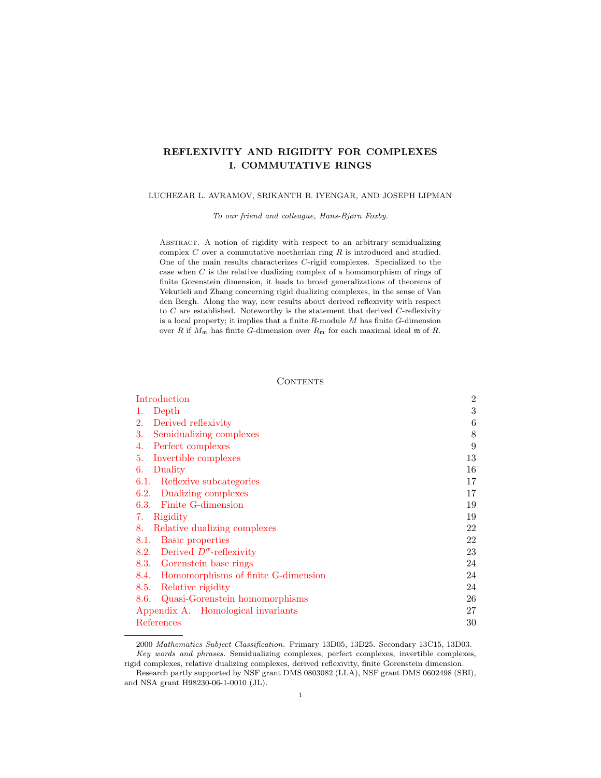# REFLEXIVITY AND RIGIDITY FOR COMPLEXES I. COMMUTATIVE RINGS

# LUCHEZAR L. AVRAMOV, SRIKANTH B. IYENGAR, AND JOSEPH LIPMAN

To our friend and colleague, Hans-Bjørn Foxby.

ABSTRACT. A notion of rigidity with respect to an arbitrary semidualizing complex  $C$  over a commutative noetherian ring  $R$  is introduced and studied. One of the main results characterizes C-rigid complexes. Specialized to the case when C is the relative dualizing complex of a homomorphism of rings of finite Gorenstein dimension, it leads to broad generalizations of theorems of Yekutieli and Zhang concerning rigid dualizing complexes, in the sense of Van den Bergh. Along the way, new results about derived reflexivity with respect to  $C$  are established. Noteworthy is the statement that derived  $C$ -reflexivity is a local property; it implies that a finite  $R$ -module  $M$  has finite  $G$ -dimension over R if  $M_m$  has finite G-dimension over  $R_m$  for each maximal ideal m of R.

#### **CONTENTS**

| Introduction                             | $\overline{2}$ |
|------------------------------------------|----------------|
| Depth<br>1.                              | 3              |
| 2.<br>Derived reflexivity                | 6              |
| Semidualizing complexes<br>3.            | 8              |
| Perfect complexes<br>4.                  | 9              |
| Invertible complexes<br>5.               | 13             |
| Duality<br>6.                            | 16             |
| Reflexive subcategories<br>6.1.          | 17             |
| Dualizing complexes<br>6.2.              | 17             |
| 6.3. Finite G-dimension                  | 19             |
| Rigidity<br>7.                           | 19             |
| Relative dualizing complexes<br>8.       | 22             |
| <b>Basic properties</b><br>8.1.          | 22             |
| 8.2. Derived $D^{\sigma}$ -reflexivity   | 23             |
| 8.3. Gorenstein base rings               | 24             |
| 8.4. Homomorphisms of finite G-dimension | 24             |
| Relative rigidity<br>8.5.                | 24             |
| Quasi-Gorenstein homomorphisms<br>8.6.   | 26             |
| Appendix A. Homological invariants       |                |
| References                               |                |

<sup>2000</sup> Mathematics Subject Classification. Primary 13D05, 13D25. Secondary 13C15, 13D03. Key words and phrases. Semidualizing complexes, perfect complexes, invertible complexes, rigid complexes, relative dualizing complexes, derived reflexivity, finite Gorenstein dimension.

Research partly supported by NSF grant DMS 0803082 (LLA), NSF grant DMS 0602498 (SBI), and NSA grant H98230-06-1-0010 (JL).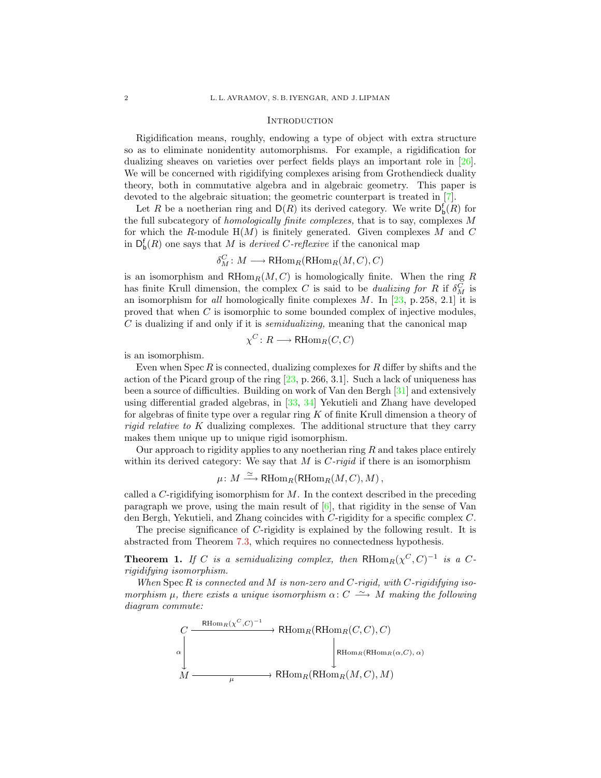#### **INTRODUCTION**

<span id="page-1-0"></span>Rigidification means, roughly, endowing a type of object with extra structure so as to eliminate nonidentity automorphisms. For example, a rigidification for dualizing sheaves on varieties over perfect fields plays an important role in [\[26\]](#page-30-0). We will be concerned with rigidifying complexes arising from Grothendieck duality theory, both in commutative algebra and in algebraic geometry. This paper is devoted to the algebraic situation; the geometric counterpart is treated in [\[7\]](#page-29-1).

Let R be a noetherian ring and  $D(R)$  its derived category. We write  $D_{b}^{f}(R)$  for the full subcategory of homologically finite complexes, that is to say, complexes M for which the R-module  $H(M)$  is finitely generated. Given complexes M and C in  $D_{\mathbf{b}}^{\mathbf{f}}(R)$  one says that M is *derived C-reflexive* if the canonical map

$$
\delta^C_M\colon M\longrightarrow \mathsf{RHom}_R(\mathsf{RHom}_R(M,C),C)
$$

is an isomorphism and  $RHom_R(M, C)$  is homologically finite. When the ring R has finite Krull dimension, the complex C is said to be *dualizing for R* if  $\delta_M^C$  is an isomorphism for all homologically finite complexes  $M$ . In [\[23,](#page-30-1) p. 258, 2.1] it is proved that when C is isomorphic to some bounded complex of injective modules, C is dualizing if and only if it is semidualizing, meaning that the canonical map

$$
\chi^C\colon R\longrightarrow \mathsf{RHom}_R(C,C)
$$

is an isomorphism.

Even when Spec  $R$  is connected, dualizing complexes for  $R$  differ by shifts and the action of the Picard group of the ring  $[23, p. 266, 3.1]$  $[23, p. 266, 3.1]$ . Such a lack of uniqueness has been a source of difficulties. Building on work of Van den Bergh [\[31\]](#page-30-2) and extensively using differential graded algebras, in [\[33,](#page-30-3) [34\]](#page-30-4) Yekutieli and Zhang have developed for algebras of finite type over a regular ring  $K$  of finite Krull dimension a theory of rigid relative to K dualizing complexes. The additional structure that they carry makes them unique up to unique rigid isomorphism.

Our approach to rigidity applies to any noetherian ring  $R$  and takes place entirely within its derived category: We say that  $M$  is  $C$ -rigid if there is an isomorphism

$$
\mu\colon M \xrightarrow{\simeq} \mathrm{RHom}_R(\mathrm{RHom}_R(M, C), M) ,
$$

called a C-rigidifying isomorphism for  $M$ . In the context described in the preceding paragraph we prove, using the main result of  $[6]$ , that rigidity in the sense of Van den Bergh, Yekutieli, and Zhang coincides with C-rigidity for a specific complex C.

The precise significance of C-rigidity is explained by the following result. It is abstracted from Theorem [7.3,](#page-19-0) which requires no connectedness hypothesis.

**Theorem 1.** If C is a semidualizing complex, then  $R\text{Hom}_R(\chi^C, C)^{-1}$  is a Crigidifying isomorphism.

When  $Spec R$  is connected and  $M$  is non-zero and  $C$ -rigid, with  $C$ -rigidifying isomorphism  $\mu$ , there exists a unique isomorphism  $\alpha: C \longrightarrow M$  making the following diagram commute:

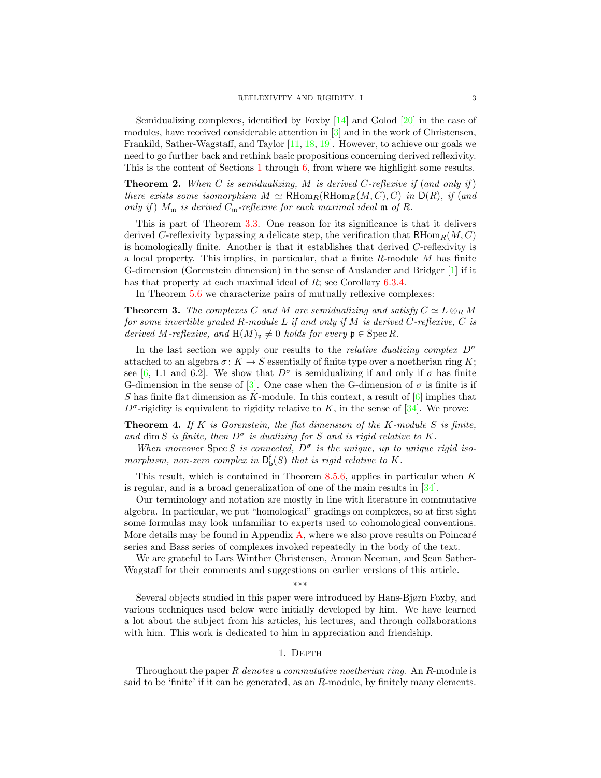Semidualizing complexes, identified by Foxby [\[14\]](#page-29-3) and Golod [\[20\]](#page-30-5) in the case of modules, have received considerable attention in [\[3\]](#page-29-4) and in the work of Christensen, Frankild, Sather-Wagstaff, and Taylor [\[11,](#page-29-5) [18,](#page-30-6) [19\]](#page-30-7). However, to achieve our goals we need to go further back and rethink basic propositions concerning derived reflexivity. This is the content of Sections [1](#page-2-0) through [6,](#page-15-0) from where we highlight some results.

**Theorem 2.** When C is semidualizing, M is derived C-reflexive if (and only if) there exists some isomorphism  $M \simeq \mathrm{RHom}_R(\mathrm{RHom}_R(M, C), C)$  in  $\mathrm{D}(R)$ , if (and only if)  $M_m$  is derived  $C_m$ -reflexive for each maximal ideal  $m$  of  $R$ .

This is part of Theorem [3.3.](#page-7-1) One reason for its significance is that it delivers derived C-reflexivity bypassing a delicate step, the verification that  $RHom_R(M, C)$ is homologically finite. Another is that it establishes that derived C-reflexivity is a local property. This implies, in particular, that a finite  $R$ -module  $M$  has finite G-dimension (Gorenstein dimension) in the sense of Auslander and Bridger [\[1\]](#page-29-0) if it has that property at each maximal ideal of R; see Corollary [6.3.4.](#page-18-2)

In Theorem [5.6](#page-15-1) we characterize pairs of mutually reflexive complexes:

**Theorem 3.** The complexes C and M are semidualizing and satisfy  $C \simeq L \otimes_R M$ for some invertible graded R-module L if and only if M is derived C-reflexive, C is derived M-reflexive, and  $H(M)_p \neq 0$  holds for every  $p \in \text{Spec } R$ .

In the last section we apply our results to the *relative dualizing complex*  $D^{\sigma}$ attached to an algebra  $\sigma: K \to S$  essentially of finite type over a noetherian ring K; see [\[6,](#page-29-2) 1.1 and 6.2]. We show that  $D^{\sigma}$  is semidualizing if and only if  $\sigma$  has finite G-dimension in the sense of [\[3\]](#page-29-4). One case when the G-dimension of  $\sigma$  is finite is if S has finite flat dimension as K-module. In this context, a result of  $[6]$  implies that  $D^{\sigma}$ -rigidity is equivalent to rigidity relative to K, in the sense of [\[34\]](#page-30-4). We prove:

**Theorem 4.** If K is Gorenstein, the flat dimension of the K-module S is finite, and dim S is finite, then  $D^{\sigma}$  is dualizing for S and is rigid relative to K.

When moreover Spec S is connected,  $D^{\sigma}$  is the unique, up to unique rigid isomorphism, non-zero complex in  $D_b^f(S)$  that is rigid relative to K.

This result, which is contained in Theorem [8.5.6,](#page-24-0) applies in particular when  $K$ is regular, and is a broad generalization of one of the main results in [\[34\]](#page-30-4).

Our terminology and notation are mostly in line with literature in commutative algebra. In particular, we put "homological" gradings on complexes, so at first sight some formulas may look unfamiliar to experts used to cohomological conventions. More details may be found in Appendix  $A$ , where we also prove results on Poincaré series and Bass series of complexes invoked repeatedly in the body of the text.

We are grateful to Lars Winther Christensen, Amnon Neeman, and Sean Sather-Wagstaff for their comments and suggestions on earlier versions of this article.

\*\*\*

Several objects studied in this paper were introduced by Hans-Bjørn Foxby, and various techniques used below were initially developed by him. We have learned a lot about the subject from his articles, his lectures, and through collaborations with him. This work is dedicated to him in appreciation and friendship.

# 1. DEPTH

<span id="page-2-0"></span>Throughout the paper R denotes a commutative noetherian ring. An R-module is said to be 'finite' if it can be generated, as an  $R$ -module, by finitely many elements.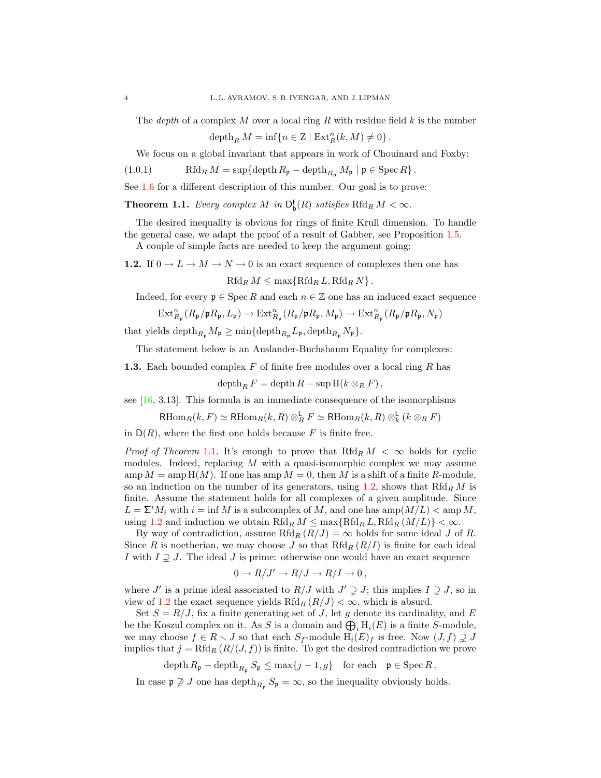The *depth* of a complex M over a local ring R with residue field  $k$  is the number

<span id="page-3-3"></span>depth<sub>R</sub>  $M = \inf\{n \in \mathbb{Z} \mid \text{Ext}^n_R(k,M) \neq 0\}$ .

We focus on a global invariant that appears in work of Chouinard and Foxby:

(1.0.1) Rfd<sub>R</sub>  $M = \sup{\{\text{depth } R_{\mathfrak{p}}} - \text{depth}_{R_{\mathfrak{p}}} M_{\mathfrak{p}} \mid \mathfrak{p} \in \text{Spec } R\}.$ 

See [1.6](#page-5-1) for a different description of this number. Our goal is to prove:

<span id="page-3-0"></span>**Theorem 1.1.** Every complex M in  $\mathsf{D}_{\mathsf{b}}^{\mathsf{f}}(R)$  satisfies  $\text{Rfd}_R M < \infty$ .

The desired inequality is obvious for rings of finite Krull dimension. To handle the general case, we adapt the proof of a result of Gabber, see Proposition [1.5.](#page-4-0)

A couple of simple facts are needed to keep the argument going:

<span id="page-3-1"></span>1.2. If  $0 \to L \to M \to N \to 0$  is an exact sequence of complexes then one has  $Rfd_R M \leq \max\{Rfd_R L, Rfd_R N\}.$ 

Indeed, for every  $\mathfrak{p} \in \text{Spec } R$  and each  $n \in \mathbb{Z}$  one has an induced exact sequence

$$
\mathrm{Ext}^n_{R_\mathfrak{p}}(R_\mathfrak{p}/\mathfrak{p} R_\mathfrak{p}, L_\mathfrak{p}) \rightarrow \mathrm{Ext}^n_{R_\mathfrak{p}}(R_\mathfrak{p}/\mathfrak{p} R_\mathfrak{p}, M_\mathfrak{p}) \rightarrow \mathrm{Ext}^n_{R_\mathfrak{p}}(R_\mathfrak{p}/\mathfrak{p} R_\mathfrak{p}, N_\mathfrak{p})
$$

that yields  $\text{depth}_{R_{\mathfrak{p}}} M_{\mathfrak{p}} \ge \min \{ \text{depth}_{R_{\mathfrak{p}}} L_{\mathfrak{p}}, \text{depth}_{R_{\mathfrak{p}}} N_{\mathfrak{p}} \}.$ 

The statement below is an Auslander-Buchsbaum Equality for complexes:

<span id="page-3-2"></span>**1.3.** Each bounded complex  $F$  of finite free modules over a local ring  $R$  has

 $\operatorname{depth}_R F = \operatorname{depth} R - \operatorname{sup} H(k \otimes_R F),$ 

see  $[16, 3.13]$  $[16, 3.13]$ . This formula is an immediate consequence of the isomorphisms

 $\text{RHom}_R(k, F) \simeq \text{RHom}_R(k, R) \otimes_R^{\mathsf{L}} F \simeq \text{RHom}_R(k, R) \otimes_R^{\mathsf{L}} (k \otimes_R F)$ 

in  $D(R)$ , where the first one holds because F is finite free.

*Proof of Theorem [1.1](#page-3-0).* It's enough to prove that  $Rfd_R M < \infty$  holds for cyclic modules. Indeed, replacing  $M$  with a quasi-isomorphic complex we may assume  $\operatorname{amp} M = \operatorname{amp} H(M)$ . If one has  $\operatorname{amp} M = 0$ , then M is a shift of a finite R-module, so an induction on the number of its generators, using [1.2,](#page-3-1) shows that  $Rfd_R M$  is finite. Assume the statement holds for all complexes of a given amplitude. Since  $L = \sum^{i} M_i$  with  $i = \inf M$  is a subcomplex of M, and one has  $\text{amp}(M/L) < \text{amp}(M)$ , using [1.2](#page-3-1) and induction we obtain  $Rfd_R M \leq \max\{Rfd_R L, Rfd_R (M/L)\} < \infty$ .

By way of contradiction, assume Rfd<sub>R</sub>  $(R/J) = \infty$  holds for some ideal J of R. Since R is noetherian, we may choose J so that  $Rfd_R (R/I)$  is finite for each ideal I with  $I \supseteq J$ . The ideal J is prime: otherwise one would have an exact sequence

$$
0 \to R/J' \to R/J \to R/I \to 0,
$$

where J' is a prime ideal associated to  $R/J$  with  $J' \supsetneq J$ ; this implies  $I \supsetneq J$ , so in view of [1.2](#page-3-1) the exact sequence yields  $Rfd_R(R/J) < \infty$ , which is absurd.

Set  $S = R/J$ , fix a finite generating set of J, let g denote its cardinality, and E be the Koszul complex on it. As S is a domain and  $\bigoplus_i H_i(E)$  is a finite S-module, we may choose  $f \in R \setminus J$  so that each  $S_f$ -module  $H_i(E)_f$  is free. Now  $(J, f) \supsetneq J$ implies that  $j = Rfd_R(R/(J, f))$  is finite. To get the desired contradiction we prove

$$
\operatorname{depth} R_{\mathfrak{p}} - \operatorname{depth}_{R_{\mathfrak{p}}} S_{\mathfrak{p}} \le \max\{j-1, g\} \quad \text{for each} \quad \mathfrak{p} \in \operatorname{Spec} R.
$$

In case  $\mathfrak{p} \not\supseteq J$  one has depth $_{R_{\mathfrak{p}}} S_{\mathfrak{p}} = \infty$ , so the inequality obviously holds.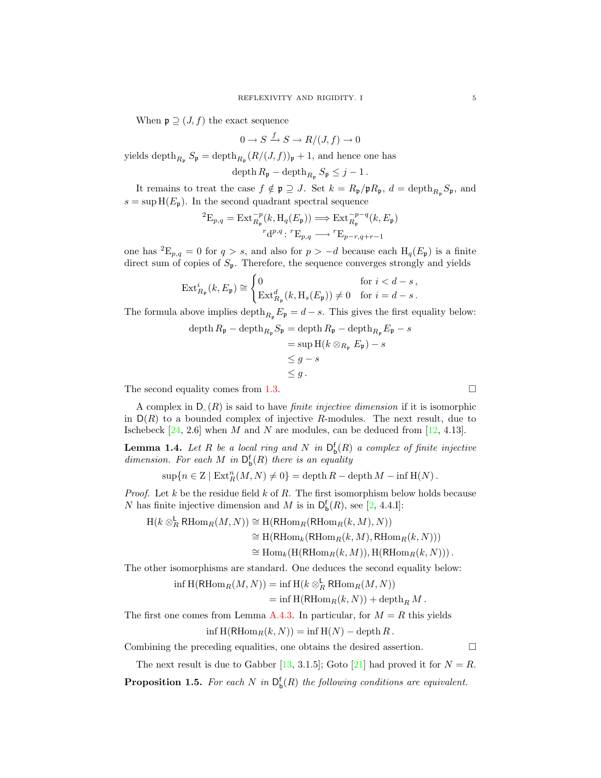When  $\mathfrak{p} \supseteq (J, f)$  the exact sequence

$$
0 \to S \xrightarrow{f} S \to R/(J, f) \to 0
$$

yields depth<sub> $R_p$ </sub>  $S_p = \text{depth}_{R_p} (R/(J, f))_p + 1$ , and hence one has

 $\operatorname{depth} R_{\mathfrak{p}} - \operatorname{depth}_{R_{\mathfrak{p}}} S_{\mathfrak{p}} \leq j-1$ .

It remains to treat the case  $f \notin \mathfrak{p} \supseteq J$ . Set  $k = R_{\mathfrak{p}}/\mathfrak{p}R_{\mathfrak{p}}, d = \text{depth}_{R_{\mathfrak{p}}}S_{\mathfrak{p}},$  and  $s = \sup H(E_p)$ . In the second quadrant spectral sequence

$$
{}^{2}E_{p,q} = \text{Ext}_{R_{\mathfrak{p}}}^{-p}(k, \text{H}_{q}(E_{\mathfrak{p}})) \Longrightarrow \text{Ext}_{R_{\mathfrak{p}}}^{-p-q}(k, E_{\mathfrak{p}})
$$

$$
{}^{r}\text{d}^{p,q}: {}^{r}\text{E}_{p,q} \longrightarrow {}^{r}\text{E}_{p-r,q+r-1}
$$

one has <sup>2</sup>E<sub>p,q</sub> = 0 for  $q > s$ , and also for  $p > -d$  because each H<sub>q</sub>(E<sub>p</sub>) is a finite direct sum of copies of  $S_p$ . Therefore, the sequence converges strongly and yields

$$
\operatorname{Ext}_{R_{\mathfrak{p}}}^{i}(k, E_{\mathfrak{p}}) \cong \begin{cases} 0 & \text{for } i < d - s, \\ \operatorname{Ext}_{R_{\mathfrak{p}}}^{d}(k, \operatorname{H}_{s}(E_{\mathfrak{p}})) \neq 0 & \text{for } i = d - s. \end{cases}
$$

The formula above implies depth $_{R_p} E_p = d - s$ . This gives the first equality below:

$$
\begin{aligned} \operatorname{depth} R_{\mathfrak{p}} - \operatorname{depth}_{R_{\mathfrak{p}}} S_{\mathfrak{p}} &= \operatorname{depth} R_{\mathfrak{p}} - \operatorname{depth}_{R_{\mathfrak{p}}} E_{\mathfrak{p}} - s \\ &= \sup \operatorname{H}(k \otimes_{R_{\mathfrak{p}}} E_{\mathfrak{p}}) - s \\ &\leq g - s \\ &\leq g \,. \end{aligned}
$$

The second equality comes from [1.3.](#page-3-2)  $\Box$ 

A complex in  $D_{-}(R)$  is said to have *finite injective dimension* if it is isomorphic in  $D(R)$  to a bounded complex of injective R-modules. The next result, due to Ischebeck  $[24, 2.6]$  $[24, 2.6]$  when M and N are modules, can be deduced from  $[12, 4.13]$  $[12, 4.13]$ .

<span id="page-4-1"></span>**Lemma 1.4.** Let R be a local ring and N in  $D_b^f(R)$  a complex of finite injective dimension. For each M in  $\mathsf{D}^{\mathsf{f}}_{\mathsf{b}}(R)$  there is an equality

 $\sup\{n \in \mathbb{Z} \mid \mathrm{Ext}^n_R(M,N) \neq 0\} = \mathrm{depth}\, R - \mathrm{depth}\, M - \inf \mathrm{H}(N)$ .

*Proof.* Let  $k$  be the residue field  $k$  of  $R$ . The first isomorphism below holds because N has finite injective dimension and M is in  $\mathsf{D}^{\mathsf{f}}_{\mathsf{b}}(R)$ , see [\[2,](#page-29-7) 4.4.I]:

 $H(k \otimes_R^{\mathsf{L}} \mathsf{RHom}_R(M,N)) \cong \mathrm{H}(\mathsf{RHom}_R(\mathsf{RHom}_R(k,M),N))$  $\simeq$  H(RHom<sub>k</sub>(RHom<sub>R</sub>(k, M), RHom<sub>R</sub>(k, N)))  $\cong$  Hom<sub>k</sub>(H(RHom<sub>R</sub>(k, M)), H(RHom<sub>R</sub>(k, N))).

The other isomorphisms are standard. One deduces the second equality below:

 $\inf \mathcal{H}(\mathsf{R}\mathrm{Hom}_R(M,N)) = \inf \mathcal{H}(k \otimes_R^{\mathsf{L}} \mathsf{R}\mathrm{Hom}_R(M,N))$ 

$$
= \inf \mathrm{H}(\mathrm{RHom}_R(k,N)) + \operatorname{depth}_R M.
$$

The first one comes from Lemma [A.4.3.](#page-27-0) In particular, for  $M = R$  this yields  $\inf H(\text{RHom}_R(k, N)) = \inf H(N) - \operatorname{depth} R$ .

Combining the preceding equalities, one obtains the desired assertion.  $\Box$ 

The next result is due to Gabber [\[13,](#page-29-8) 3.1.5]; Goto [\[21\]](#page-30-10) had proved it for  $N = R$ .

<span id="page-4-0"></span>**Proposition 1.5.** For each N in  $D_b^f(R)$  the following conditions are equivalent.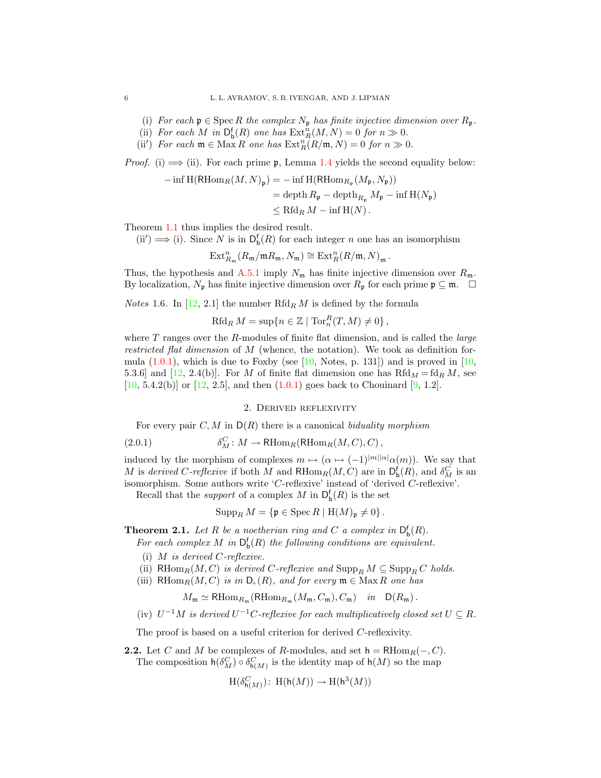- (i) For each  $\mathfrak{p} \in \operatorname{Spec} R$  the complex  $N_{\mathfrak{p}}$  has finite injective dimension over  $R_{\mathfrak{p}}$ .
- (ii) For each M in  $\mathsf{D}^{\mathsf{f}}_{\mathsf{b}}(R)$  one has  $\mathrm{Ext}^n_R(M,N) = 0$  for  $n \gg 0$ .
- (ii') For each  $\mathfrak{m} \in \text{Max } R$  one has  $\text{Ext}^n_R(R/\mathfrak{m}, N) = 0$  for  $n \gg 0$ .

*Proof.* (i)  $\implies$  (ii). For each prime **p**, Lemma [1.4](#page-4-1) yields the second equality below:

$$
- \inf \mathrm{H}(\mathrm{RHom}_R(M, N)_{\mathfrak{p}}) = - \inf \mathrm{H}(\mathrm{RHom}_{R_{\mathfrak{p}}}(M_{\mathfrak{p}}, N_{\mathfrak{p}}))
$$
  
= depth  $R_{\mathfrak{p}} - \operatorname{depth}_{R_{\mathfrak{p}}} M_{\mathfrak{p}} - \inf \mathrm{H}(N_{\mathfrak{p}})$   

$$
\leq \mathrm{Rfd}_R M - \inf \mathrm{H}(N).
$$

Theorem [1.1](#page-3-0) thus implies the desired result.

 $(ii') \Longrightarrow (i)$ . Since N is in  $D_{b}^{f}(R)$  for each integer n one has an isomorphism

$$
\operatorname{Ext}^n_{R_{\mathfrak{m}}}(R_{\mathfrak{m}}/\mathfrak{m} R_{\mathfrak{m}}, N_{\mathfrak{m}}) \cong \operatorname{Ext}^n_R(R/\mathfrak{m}, N)_{\mathfrak{m}}.
$$

Thus, the hypothesis and [A.5.1](#page-28-0) imply  $N_{\rm m}$  has finite injective dimension over  $R_{\rm m}$ . By localization,  $N_p$  has finite injective dimension over  $R_p$  for each prime  $\mathfrak{p} \subseteq \mathfrak{m}$ .  $\Box$ 

<span id="page-5-1"></span>*Notes* 1.6. In [\[12,](#page-29-6) 2.1] the number  $Rfd_R M$  is defined by the formula

$$
Rfd_R M = \sup\{n \in \mathbb{Z} \mid \operatorname{Tor}_n^R(T, M) \neq 0\},\
$$

where  $T$  ranges over the  $R$ -modules of finite flat dimension, and is called the *large* restricted flat dimension of M (whence, the notation). We took as definition formula  $(1.0.1)$ , which is due to Foxby (see [\[10,](#page-29-9) Notes, p. 131]) and is proved in [10, 5.3.6] and [\[12,](#page-29-6) 2.4(b)]. For M of finite flat dimension one has  $Rfd_M = fd_R M$ , see  $[10, 5.4.2(b)]$  $[10, 5.4.2(b)]$  or  $[12, 2.5]$  $[12, 2.5]$ , and then  $(1.0.1)$  goes back to Chouinard  $[9, 1.2]$  $[9, 1.2]$ .

<span id="page-5-4"></span>2. Derived reflexivity

<span id="page-5-0"></span>For every pair  $C, M$  in  $D(R)$  there is a canonical biduality morphism

(2.0.1) 
$$
\delta_M^C : M \to \mathrm{RHom}_R(\mathrm{RHom}_R(M, C), C),
$$

induced by the morphism of complexes  $m \mapsto (\alpha \mapsto (-1)^{|m||\alpha|} \alpha(m))$ . We say that M is derived C-reflexive if both M and  $RHom_R(M, C)$  are in  $D_{\bf b}^{\bf f}(R)$ , and  $\delta_M^C$  is an isomorphism. Some authors write 'C-reflexive' instead of 'derived C-reflexive'.

Recall that the *support* of a complex M in  $D_b^f(R)$  is the set

$$
\operatorname{Supp}_R M = \{ \mathfrak{p} \in \operatorname{Spec} R \mid \mathrm{H}(M)_{\mathfrak{p}} \neq 0 \}.
$$

<span id="page-5-3"></span>**Theorem 2.1.** Let R be a noetherian ring and C a complex in  $D_b^f(R)$ .

For each complex M in  $D_b^f(R)$  the following conditions are equivalent.

- (i)  $M$  is derived  $C$ -reflexive.
- (ii) RHom $_R(M, C)$  is derived C-reflexive and  $\text{Supp}_R M \subseteq \text{Supp}_R C$  holds.
- (iii) RHom $_R(M, C)$  is in  $D_+(R)$ , and for every  $\mathfrak{m} \in \text{Max } R$  one has

$$
M_{\mathfrak{m}} \simeq \mathrm{RHom}_{R_{\mathfrak{m}}}(\mathrm{RHom}_{R_{\mathfrak{m}}}(M_{\mathfrak{m}}, C_{\mathfrak{m}}), C_{\mathfrak{m}}) \quad in \quad \mathsf{D}(R_{\mathfrak{m}}) .
$$

(iv)  $U^{-1}M$  is derived  $U^{-1}C$ -reflexive for each multiplicatively closed set  $U \subseteq R$ .

The proof is based on a useful criterion for derived C-reflexivity.

<span id="page-5-2"></span>**2.2.** Let C and M be complexes of R-modules, and set  $h = R\text{Hom}_{R}(-, C)$ . The composition  $h(\delta_M^C) \circ \delta_{h(M)}^C$  is the identity map of  $h(M)$  so the map

$$
\mathrm{H}(\delta^C_{\mathsf{h}(M)})\colon\operatorname{H}(\mathsf{h}(M))\to\mathrm{H}(\mathsf{h}^3(M))
$$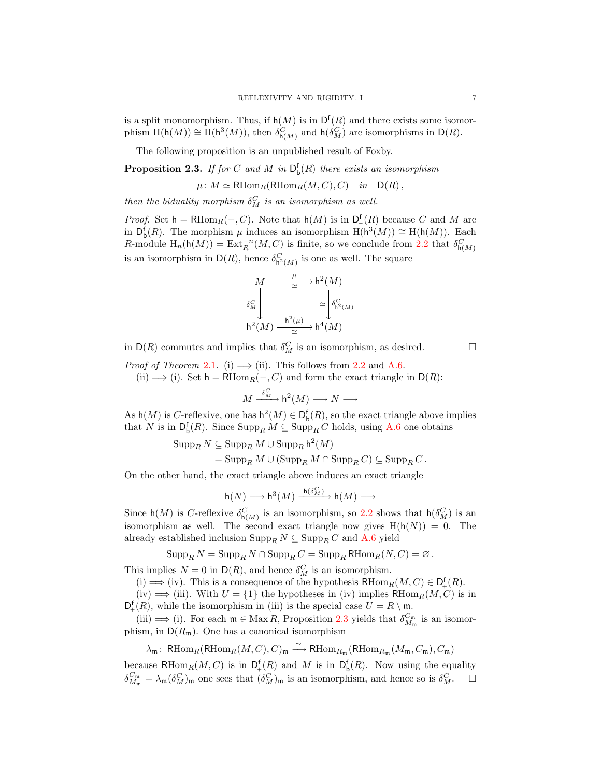is a split monomorphism. Thus, if  $h(M)$  is in  $D^{f}(R)$  and there exists some isomorphism  $H(h(M)) \cong H(h^3(M))$ , then  $\delta_{h(M)}^C$  and  $h(\delta_M^C)$  are isomorphisms in  $D(R)$ .

The following proposition is an unpublished result of Foxby.

<span id="page-6-0"></span>**Proposition 2.3.** If for C and M in  $D_b^f(R)$  there exists an isomorphism

 $\mu: M \simeq \text{RHom}_R(\text{RHom}_R(M, C), C)$  in  $D(R)$ ,

then the biduality morphism  $\delta_M^C$  is an isomorphism as well.

*Proof.* Set  $h = RHom_R(-, C)$ . Note that  $h(M)$  is in  $D_{-}^{f}(R)$  because C and M are in  $D_{\mathfrak{b}}^{\mathfrak{f}}(R)$ . The morphism  $\mu$  induces an isomorphism  $H(\mathsf{h}^3(M)) \cong H(\mathsf{h}(M))$ . Each R-module  $H_n(h(M)) = Ext_R^{-n}(M, C)$  is finite, so we conclude from [2.2](#page-5-2) that  $\delta_{h(M)}^C$ is an isomorphism in  $\mathsf{D}(R)$ , hence  $\delta_{\mathsf{h}^2(M)}^C$  is one as well. The square

$$
M \xrightarrow{\mu} h^{2}(M)
$$

$$
\delta_{M}^{C} \downarrow \simeq \begin{cases} \delta_{h^{2}(M)}^{C} \\ \delta_{h^{2}(M)}^{C} \\ h^{2}(M) \xrightarrow{\alpha} h^{2}(M) \end{cases}
$$

in  $\mathsf{D}(R)$  commutes and implies that  $\delta_M^C$  is an isomorphism, as desired.  $\Box$ 

*Proof of Theorem [2.1](#page-5-3).* (i)  $\implies$  (ii). This follows from [2.2](#page-5-2) and [A.6.](#page-29-11)

(ii)  $\implies$  (i). Set h = RHom<sub>R</sub>(-, C) and form the exact triangle in D(R):

$$
M \xrightarrow{\delta_M^C} \mathsf{h}^2(M) \longrightarrow N \longrightarrow
$$

As  $h(M)$  is C-reflexive, one has  $h^2(M) \in D_b^f(R)$ , so the exact triangle above implies that N is in  $\mathsf{D}^{\mathsf{f}}_{\mathsf{b}}(R)$ . Since  $\mathrm{Supp}_R M \subseteq \mathrm{Supp}_R C$  holds, using [A.6](#page-29-11) one obtains

$$
\begin{aligned} \operatorname{Supp}_R N &\subseteq \operatorname{Supp}_R M \cup \operatorname{Supp}_R \mathsf{h}^2(M) \\ &= \operatorname{Supp}_R M \cup (\operatorname{Supp}_R M \cap \operatorname{Supp}_R C) \subseteq \operatorname{Supp}_R C \,. \end{aligned}
$$

On the other hand, the exact triangle above induces an exact triangle

$$
\mathsf{h}(N)\longrightarrow \mathsf{h}^3(M)\xrightarrow{\mathsf{h}(\delta_M^C)}\mathsf{h}(M)\longrightarrow
$$

Since  $h(M)$  is C-reflexive  $\delta_{h(M)}^C$  is an isomorphism, so [2.2](#page-5-2) shows that  $h(\delta_M^C)$  is an isomorphism as well. The second exact triangle now gives  $H(h(N)) = 0$ . The already established inclusion  $\operatorname{Supp}_R N \subseteq \operatorname{Supp}_R C$  and  $\mathbf{A}.\mathbf{6}$  yield

$$
\operatorname{Supp}_R N = \operatorname{Supp}_R N \cap \operatorname{Supp}_R C = \operatorname{Supp}_R \text{RHom}_R(N,C) = \varnothing.
$$

This implies  $N = 0$  in  $D(R)$ , and hence  $\delta_M^C$  is an isomorphism.

(i)  $\implies$  (iv). This is a consequence of the hypothesis RHom<sub>R</sub> $(M, C) \in D<sup>f</sup><sub>+</sub>(R)$ .

(iv)  $\implies$  (iii). With  $U = \{1\}$  the hypotheses in (iv) implies RHom<sub>R</sub> $(M, C)$  is in  $D_+^f(R)$ , while the isomorphism in (iii) is the special case  $U = R \setminus \mathfrak{m}$ .

(iii)  $\implies$  (i). For each  $\mathfrak{m} \in \text{Max } R$ , Proposition [2.3](#page-6-0) yields that  $\delta_{M_{\mathfrak{m}}}^{C_{\mathfrak{m}}}$  is an isomorphism, in  $D(R_m)$ . One has a canonical isomorphism

 $\lambda_{\mathfrak{m}}\colon \operatorname{RHom}_R(\operatorname{RHom}_R(M, C), C)_{\mathfrak{m}} \stackrel{\simeq}{\longrightarrow} \operatorname{RHom}_{R_{\mathfrak{m}}}(\operatorname{RHom}_{R_{\mathfrak{m}}}(M_{\mathfrak{m}}, C_{\mathfrak{m}}), C_{\mathfrak{m}})$ 

because RHom<sub>R</sub> $(M, C)$  is in  $D_{+}^{f}(R)$  and M is in  $D_{b}^{f}(R)$ . Now using the equality  $\delta_{M_{\mathfrak{m}}}^{C_{\mathfrak{m}}} = \lambda_{\mathfrak{m}}(\delta_M^C)_{\mathfrak{m}}$  one sees that  $(\delta_M^C)_{\mathfrak{m}}$  is an isomorphism, and hence so is  $\delta_M^C$ .  $\Box$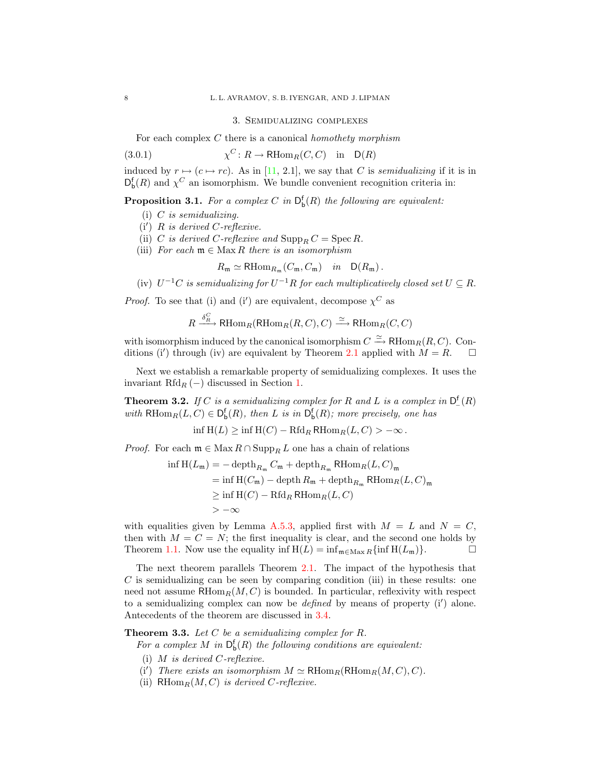#### <span id="page-7-4"></span>3. Semidualizing complexes

<span id="page-7-0"></span>For each complex  $C$  there is a canonical *homothety morphism* 

(3.0.1) 
$$
\chi^C \colon R \to \mathrm{RHom}_R(C, C) \quad \text{in} \quad \mathrm{D}(R)
$$

induced by  $r \mapsto (c \mapsto rc)$ . As in [\[11,](#page-29-5) 2.1], we say that C is semidualizing if it is in  $D_{\mathbf{b}}^{\mathbf{f}}(R)$  and  $\chi^C$  an isomorphism. We bundle convenient recognition criteria in:

<span id="page-7-3"></span>**Proposition 3.1.** For a complex C in  $D_b^f(R)$  the following are equivalent:

- (i)  $C$  is semidualizing.
- $(i')$  R is derived C-reflexive.
- (ii) C is derived C-reflexive and  $\text{Supp}_R C = \text{Spec } R$ .
- (iii) For each  $\mathfrak{m} \in \text{Max } R$  there is an isomorphism

$$
R_{\mathfrak{m}} \simeq \mathrm{RHom}_{R_{\mathfrak{m}}}(C_{\mathfrak{m}}, C_{\mathfrak{m}}) \quad in \quad \mathrm{D}(R_{\mathfrak{m}})\,.
$$

(iv)  $U^{-1}C$  is semidualizing for  $U^{-1}R$  for each multiplicatively closed set  $U \subseteq R$ .

*Proof.* To see that (i) and (i') are equivalent, decompose  $\chi^C$  as

$$
R \xrightarrow{\delta_R^C} \text{RHom}_R(\text{RHom}_R(R, C), C) \xrightarrow{\simeq} \text{RHom}_R(C, C)
$$

with isomorphism induced by the canonical isomorphism  $C \xrightarrow{\simeq} \text{RHom}_R(R, C)$ . Con-ditions (i') through (iv) are equivalent by Theorem [2.1](#page-5-3) applied with  $M = R$ .  $\Box$ 

Next we establish a remarkable property of semidualizing complexes. It uses the invariant Rfd<sub>R</sub> (−) discussed in Section [1.](#page-2-0)

<span id="page-7-2"></span>**Theorem 3.2.** If C is a semidualizing complex for R and L is a complex in  $D_{-}^{\mathsf{f}}(R)$ with  $\text{RHom}_R(L, C) \in D_{\text{b}}^{\text{f}}(R)$ , then L is in  $D_{\text{b}}^{\text{f}}(R)$ ; more precisely, one has

$$
\inf H(L) \ge \inf H(C) - Rfd_R R\operatorname{Hom}_R(L, C) > -\infty.
$$

*Proof.* For each  $\mathfrak{m} \in \text{Max } R \cap \text{Supp}_R L$  one has a chain of relations

$$
\begin{aligned}\n\inf H(L_{\mathfrak{m}}) &= -\operatorname{depth}_{R_{\mathfrak{m}}} C_{\mathfrak{m}} + \operatorname{depth}_{R_{\mathfrak{m}}} \text{RHom}_{R}(L, C)_{\mathfrak{m}} \\
&= \inf H(C_{\mathfrak{m}}) - \operatorname{depth} R_{\mathfrak{m}} + \operatorname{depth}_{R_{\mathfrak{m}}} \text{RHom}_{R}(L, C)_{\mathfrak{m}} \\
&\geq \inf H(C) - \operatorname{Rfd}_{R} \text{RHom}_{R}(L, C) \\
&\gt -\infty\n\end{aligned}
$$

with equalities given by Lemma [A.5.3,](#page-28-1) applied first with  $M = L$  and  $N = C$ , then with  $M = C = N$ ; the first inequality is clear, and the second one holds by Theorem [1.1.](#page-3-0) Now use the equality inf  $H(L) = \inf_{m \in \text{Max } R} {\inf H(L_m)}$ .

The next theorem parallels Theorem [2.1.](#page-5-3) The impact of the hypothesis that  $C$  is semidualizing can be seen by comparing condition (iii) in these results: one need not assume  $RHom_R(M, C)$  is bounded. In particular, reflexivity with respect to a semidualizing complex can now be *defined* by means of property  $(i')$  alone. Antecedents of the theorem are discussed in [3.4.](#page-8-1)

### <span id="page-7-1"></span>**Theorem 3.3.** Let  $C$  be a semidualizing complex for  $R$ .

For a complex M in  $D_b^f(R)$  the following conditions are equivalent:

- (i) M is derived C-reflexive.
- (i') There exists an isomorphism  $M \simeq \mathrm{RHom}_R(\mathrm{RHom}_R(M, C), C)$ .
- (ii)  $RHom_R(M, C)$  is derived C-reflexive.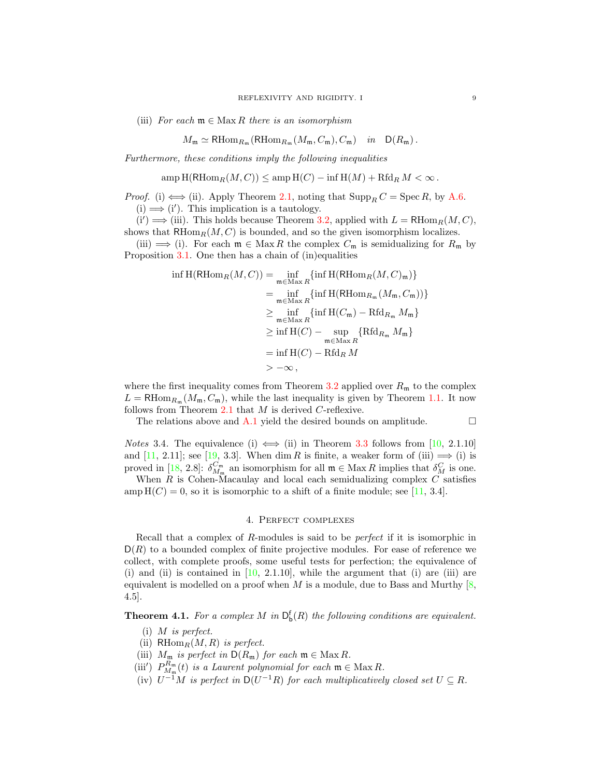(iii) For each  $\mathfrak{m} \in \mathbb{M}$  ax R there is an isomorphism

$$
M_{\mathfrak{m}} \simeq \mathrm{RHom}_{R_{\mathfrak{m}}}(\mathrm{RHom}_{R_{\mathfrak{m}}}(M_{\mathfrak{m}}, C_{\mathfrak{m}}), C_{\mathfrak{m}}) \quad in \quad \mathsf{D}(R_{\mathfrak{m}}) .
$$

Furthermore, these conditions imply the following inequalities

$$
\operatorname{amp} H(\operatorname{RHom}_R(M, C)) \le \operatorname{amp} H(C) - \inf H(M) + \operatorname{Rfd}_R M < \infty.
$$

*Proof.* (i)  $\Longleftrightarrow$  (ii). Apply Theorem [2.1,](#page-5-3) noting that  $\text{Supp}_R C = \text{Spec } R$ , by [A.6.](#page-29-11)  $(i) \Longrightarrow (i')$ . This implication is a tautology.

 $(i') \Longrightarrow (iii)$ . This holds because Theorem [3.2,](#page-7-2) applied with  $L = \text{RHom}_R(M, C)$ , shows that  $R\text{Hom}_R(M, C)$  is bounded, and so the given isomorphism localizes.

(iii)  $\implies$  (i). For each  $\mathfrak{m} \in \text{Max } R$  the complex  $C_{\mathfrak{m}}$  is semidualizing for  $R_{\mathfrak{m}}$  by Proposition [3.1.](#page-7-3) One then has a chain of (in)equalities

$$
\inf H(\mathrm{RHom}_R(M, C)) = \inf_{\mathfrak{m} \in \mathrm{Max}\,R} \{ \inf H(\mathrm{RHom}_R(M, C)_\mathfrak{m}) \}
$$
  
\n
$$
= \inf_{\mathfrak{m} \in \mathrm{Max}\,R} \{ \inf H(\mathrm{RHom}_{R_\mathfrak{m}}(M_\mathfrak{m}, C_\mathfrak{m})) \}
$$
  
\n
$$
\geq \inf_{\mathfrak{m} \in \mathrm{Max}\,R} \{ \inf H(C_\mathfrak{m}) - \mathrm{Rfd}_{R_\mathfrak{m}} M_\mathfrak{m} \}
$$
  
\n
$$
\geq \inf H(C) - \sup_{\mathfrak{m} \in \mathrm{Max}\,R} \{ \mathrm{Rfd}_{R_\mathfrak{m}} M_\mathfrak{m} \}
$$
  
\n
$$
= \inf H(C) - \mathrm{Rfd}_R M
$$
  
\n
$$
> -\infty,
$$

where the first inequality comes from Theorem [3.2](#page-7-2) applied over  $R<sub>m</sub>$  to the complex  $L = \text{RHom}_{R_{\mathfrak{m}}}(M_{\mathfrak{m}}, C_{\mathfrak{m}})$ , while the last inequality is given by Theorem [1.1.](#page-3-0) It now follows from Theorem [2.1](#page-5-3) that M is derived C-reflexive.

The relations above and  $A.1$  yield the desired bounds on amplitude.  $\Box$ 

<span id="page-8-1"></span>*Notes* 3.4. The equivalence (i)  $\iff$  (ii) in Theorem [3.3](#page-7-1) follows from [\[10,](#page-29-9) 2.1.10] and [\[11,](#page-29-5) 2.11]; see [\[19,](#page-30-7) 3.3]. When dim R is finite, a weaker form of (iii)  $\implies$  (i) is proved in [\[18,](#page-30-6) 2.8]:  $\delta_{M_m}^{C_m}$  an isomorphism for all  $\mathfrak{m} \in \text{Max } R$  implies that  $\delta_M^C$  is one.

When  $R$  is Cohen-Macaulay and local each semidualizing complex  $C$  satisfies  $\text{amp H}(C) = 0$ , so it is isomorphic to a shift of a finite module; see [\[11,](#page-29-5) 3.4].

# 4. Perfect complexes

<span id="page-8-0"></span>Recall that a complex of R-modules is said to be perfect if it is isomorphic in  $D(R)$  to a bounded complex of finite projective modules. For ease of reference we collect, with complete proofs, some useful tests for perfection; the equivalence of (i) and (ii) is contained in  $[10, 2.1.10]$  $[10, 2.1.10]$ , while the argument that (i) are (iii) are equivalent is modelled on a proof when M is a module, due to Bass and Murthy  $[8,$ 4.5].

<span id="page-8-2"></span>**Theorem 4.1.** For a complex M in  $D_b^f(R)$  the following conditions are equivalent.

- (i) M is perfect.
- (ii)  $\mathrm{RHom}_R(M, R)$  is perfect.
- (iii)  $M_{\mathfrak{m}}$  is perfect in  $\mathsf{D}(R_{\mathfrak{m}})$  for each  $\mathfrak{m} \in \mathop{\rm Max}\nolimits R$ .
- (iii')  $P_{M_{\mathfrak{m}}}^{R_{\mathfrak{m}}}(t)$  is a Laurent polynomial for each  $\mathfrak{m} \in \mathfrak{Max} R$ .
- (iv)  $U^{-1}M$  is perfect in  $D(U^{-1}R)$  for each multiplicatively closed set  $U \subseteq R$ .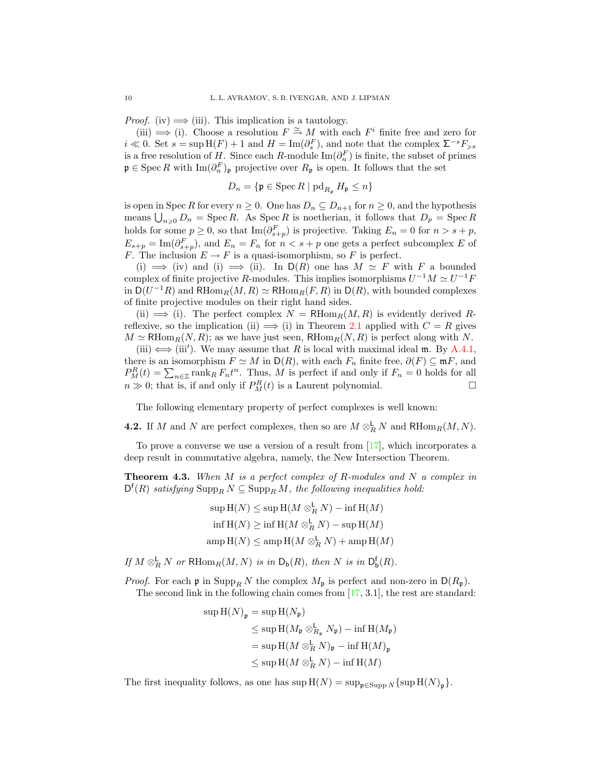*Proof.* (iv)  $\implies$  (iii). This implication is a tautology.

(iii)  $\implies$  (i). Choose a resolution  $F \cong M$  with each  $F^i$  finite free and zero for  $i \ll 0$ . Set  $s = \sup \mathcal{H}(F) + 1$  and  $H = \text{Im}(\partial_s^F)$ , and note that the complex  $\Sigma^{-s} F_{\geq s}$ is a free resolution of  $H$ . Since each R-module  $\text{Im}(\partial_n^F)$  is finite, the subset of primes  $\mathfrak{p} \in \operatorname{Spec} R$  with  $\operatorname{Im}(\partial_n^F)_{\mathfrak{p}}$  projective over  $R_{\mathfrak{p}}$  is open. It follows that the set

$$
D_n = \{ \mathfrak{p} \in \operatorname{Spec} R \mid \operatorname{pd}_{R_{\mathfrak{p}}} H_{\mathfrak{p}} \le n \}
$$

is open in Spec R for every  $n \geq 0$ . One has  $D_n \subseteq D_{n+1}$  for  $n \geq 0$ , and the hypothesis means  $\bigcup_{n\geqslant 0} D_n = \operatorname{Spec} R$ . As  $\operatorname{Spec} R$  is noetherian, it follows that  $D_p = \operatorname{Spec} R$ holds for some  $p \geq 0$ , so that  $\text{Im}(\partial_{s+p}^F)$  is projective. Taking  $E_n = 0$  for  $n > s+p$ ,  $E_{s+p} = \text{Im}(\partial_{s+p}^F)$ , and  $E_n = F_n$  for  $n < s+p$  one gets a perfect subcomplex E of F. The inclusion  $E \to F$  is a quasi-isomorphism, so F is perfect.

(i)  $\implies$  (iv) and (i)  $\implies$  (ii). In D(R) one has  $M \simeq F$  with F a bounded complex of finite projective R-modules. This implies isomorphisms  $U^{-1}M \simeq U^{-1}F$ in  $D(U^{-1}R)$  and  $RHom_R(M, R) \simeq RHom_R(F, R)$  in  $D(R)$ , with bounded complexes of finite projective modules on their right hand sides.

(ii)  $\implies$  (i). The perfect complex  $N = R\text{Hom}_R(M, R)$  is evidently derived Rreflexive, so the implication (ii)  $\implies$  (i) in Theorem [2.1](#page-5-3) applied with  $C = R$  gives  $M \simeq \text{RHom}_{R}(N, R)$ ; as we have just seen,  $\text{RHom}_{R}(N, R)$  is perfect along with N.

(iii)  $\iff$  (iii'). We may assume that R is local with maximal ideal m. By [A.4.1,](#page-27-1) there is an isomorphism  $F \simeq M$  in  $\mathsf{D}(R)$ , with each  $F_n$  finite free,  $\partial(F) \subseteq \mathfrak{m} F$ , and  $P_M^R(t) = \sum_{n \in \mathbb{Z}} \text{rank}_R F_n t^n$ . Thus, M is perfect if and only if  $F_n = 0$  holds for all  $n \gg 0$ ; that is, if and only if  $P_M^R(t)$  is a Laurent polynomial.

The following elementary property of perfect complexes is well known:

**4.2.** If M and N are perfect complexes, then so are  $M \otimes_R^{\mathsf{L}} N$  and RHom<sub>R</sub> $(M, N)$ .

To prove a converse we use a version of a result from  $[17]$ , which incorporates a deep result in commutative algebra, namely, the New Intersection Theorem.

<span id="page-9-0"></span>**Theorem 4.3.** When M is a perfect complex of R-modules and N a complex in  $\mathsf{D}^{\mathsf{f}}(R)$  satisfying  $\mathrm{Supp}_R N \subseteq \mathrm{Supp}_R M$ , the following inequalities hold:

> $\sup \mathcal{H}(N) \leq \sup \mathcal{H}(M \otimes_R^{\mathsf{L}} N) - \inf \mathcal{H}(M)$  $\inf \operatorname{H}(N) \geq \inf \operatorname{H}(M \otimes_R^{\mathsf{L}} N) - \sup \operatorname{H}(M)$  $\operatorname{ampH}(N) \leq \operatorname{ampH}(M \otimes_R^{\mathsf{L}} N) + \operatorname{ampH}(M)$

If  $M \otimes_R^{\mathsf{L}} N$  or  $\mathsf{RHom}_R(M,N)$  is in  $\mathsf{D}_{\mathsf{b}}(R)$ , then  $N$  is in  $\mathsf{D}_{\mathsf{b}}^{\mathsf{f}}(R)$ .

*Proof.* For each  $\mathfrak{p}$  in  $\text{Supp}_R N$  the complex  $M_{\mathfrak{p}}$  is perfect and non-zero in  $D(R_{\mathfrak{p}})$ . The second link in the following chain comes from [\[17,](#page-30-11) 3.1], the rest are standard:

$$
\sup \mathcal{H}(N)_{\mathfrak{p}} = \sup \mathcal{H}(N_{\mathfrak{p}})
$$
  
\n
$$
\leq \sup \mathcal{H}(M_{\mathfrak{p}} \otimes_{R_{\mathfrak{p}}}^{\mathsf{L}} N_{\mathfrak{p}}) - \inf \mathcal{H}(M_{\mathfrak{p}})
$$
  
\n
$$
= \sup \mathcal{H}(M \otimes_{R}^{\mathsf{L}} N)_{\mathfrak{p}} - \inf \mathcal{H}(M)_{\mathfrak{p}}
$$
  
\n
$$
\leq \sup \mathcal{H}(M \otimes_{R}^{\mathsf{L}} N) - \inf \mathcal{H}(M)
$$

The first inequality follows, as one has  $\sup H(N) = \sup_{\mathfrak{p} \in \text{Supp } N} {\text{sup}} H(N)_{\mathfrak{p}}$ .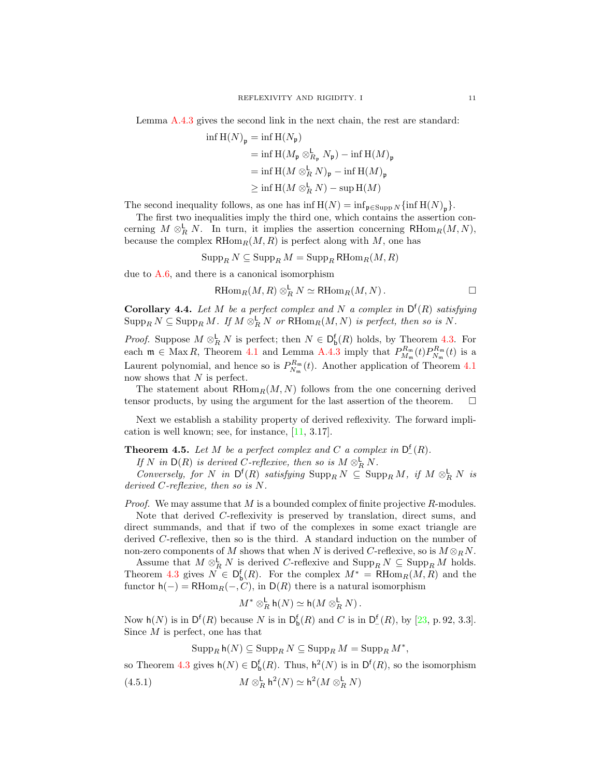Lemma [A.4.3](#page-27-0) gives the second link in the next chain, the rest are standard:

$$
\begin{aligned} \inf \, \mathrm{H}(N)_{\mathfrak{p}} &= \inf \, \mathrm{H}(N_{\mathfrak{p}}) \\ &= \inf \, \mathrm{H}(M_{\mathfrak{p}} \otimes^{\mathsf{L}}_{R_{\mathfrak{p}}} N_{\mathfrak{p}}) - \inf \, \mathrm{H}(M)_{\mathfrak{p}} \\ &= \inf \, \mathrm{H}(M \otimes^{\mathsf{L}}_{R} N)_{\mathfrak{p}} - \inf \, \mathrm{H}(M)_{\mathfrak{p}} \\ &\geq \inf \, \mathrm{H}(M \otimes^{\mathsf{L}}_{R} N) - \sup \, \mathrm{H}(M) \end{aligned}
$$

The second inequality follows, as one has  $\inf H(N) = \inf_{\mathfrak{p} \in \text{Supp } N} {\inf H(N)_{\mathfrak{p}}}$ .

The first two inequalities imply the third one, which contains the assertion concerning  $M \otimes_R^{\mathsf{L}} N$ . In turn, it implies the assertion concerning RHom $_R(M, N)$ , because the complex  $R\text{Hom}_R(M, R)$  is perfect along with M, one has

$$
\operatorname{Supp}_R N \subseteq \operatorname{Supp}_R M = \operatorname{Supp}_R \operatorname{RHom}_R(M, R)
$$

due to [A.6,](#page-29-11) and there is a canonical isomorphism

$$
\mathrm{RHom}_R(M, R) \otimes_R^{\mathsf{L}} N \simeq \mathrm{RHom}_R(M, N) . \square
$$

**Corollary 4.4.** Let M be a perfect complex and N a complex in  $D^f(R)$  satisfying  $\mathrm{Supp}_R N \subseteq \mathrm{Supp}_R M$ . If  $M \otimes_R^{\mathsf{L}} N$  or  $\mathrm{RHom}_R(M,N)$  is perfect, then so is N.

*Proof.* Suppose  $M \otimes_R^{\mathsf{L}} N$  is perfect; then  $N \in \mathsf{D}_{\mathsf{b}}^{\mathsf{f}}(R)$  holds, by Theorem [4.3.](#page-9-0) For each  $\mathfrak{m} \in \text{Max } R$ , Theorem [4.1](#page-8-2) and Lemma [A.4.3](#page-27-0) imply that  $P_{M_{\mathfrak{m}}}^{R_{\mathfrak{m}}}(t) P_{N_{\mathfrak{m}}}^{R_{\mathfrak{m}}}(t)$  is a Laurent polynomial, and hence so is  $P_{N_{\rm m}}^{R_{\rm m}}(t)$ . Another application of Theorem [4.1](#page-8-2) now shows that  $N$  is perfect.

The statement about  $R\text{Hom}_R(M, N)$  follows from the one concerning derived tensor products, by using the argument for the last assertion of the theorem.  $\Box$ 

Next we establish a stability property of derived reflexivity. The forward implication is well known; see, for instance, [\[11,](#page-29-5) 3.17].

<span id="page-10-1"></span>**Theorem 4.5.** Let M be a perfect complex and C a complex in  $D^f(R)$ .

If N in  $\mathsf{D}(R)$  is derived C-reflexive, then so is  $M \otimes_R^{\mathsf{L}} N$ .

Conversely, for N in  $\mathsf{D}^{\mathsf{f}}(R)$  satisfying  $\text{Supp}_R N \subseteq \text{Supp}_R M$ , if  $M \otimes_R^{\mathsf{L}} N$  is derived C-reflexive, then so is N.

*Proof.* We may assume that  $M$  is a bounded complex of finite projective  $R$ -modules.

Note that derived C-reflexivity is preserved by translation, direct sums, and direct summands, and that if two of the complexes in some exact triangle are derived C-reflexive, then so is the third. A standard induction on the number of non-zero components of M shows that when N is derived C-reflexive, so is  $M \otimes_R N$ .

Assume that  $M \otimes_R^{\mathsf{L}} N$  is derived C-reflexive and  $\text{Supp}_R N \subseteq \text{Supp}_R M$  holds. Theorem [4.3](#page-9-0) gives  $N \in D_b^{\mathsf{f}}(R)$ . For the complex  $M^* = \mathsf{RHom}_R(M, R)$  and the functor  $h(-) = RHom_R(-, C)$ , in  $D(R)$  there is a natural isomorphism

$$
M^* \otimes_R^{\mathsf{L}} \mathsf{h}(N) \simeq \mathsf{h}(M \otimes_R^{\mathsf{L}} N).
$$

Now  $h(N)$  is in  $D^f(R)$  because N is in  $D^f_b(R)$  and C is in  $D^f_{-}(R)$ , by [\[23,](#page-30-1) p. 92, 3.3]. Since  $M$  is perfect, one has that

<span id="page-10-0"></span> $\operatorname{Supp}_R \mathsf{h}(N) \subseteq \operatorname{Supp}_R N \subseteq \operatorname{Supp}_R M = \operatorname{Supp}_R M^*$ ,

so Theorem [4.3](#page-9-0) gives  $h(N) \in D_b^f(R)$ . Thus,  $h^2(N)$  is in  $D^f(R)$ , so the isomorphism  $(4.5.1)$  $_{R}^{\mathsf{L}}\;\mathsf{h}^2(N)\simeq \mathsf{h}^2(M\otimes_R^{\mathsf{L}} N)$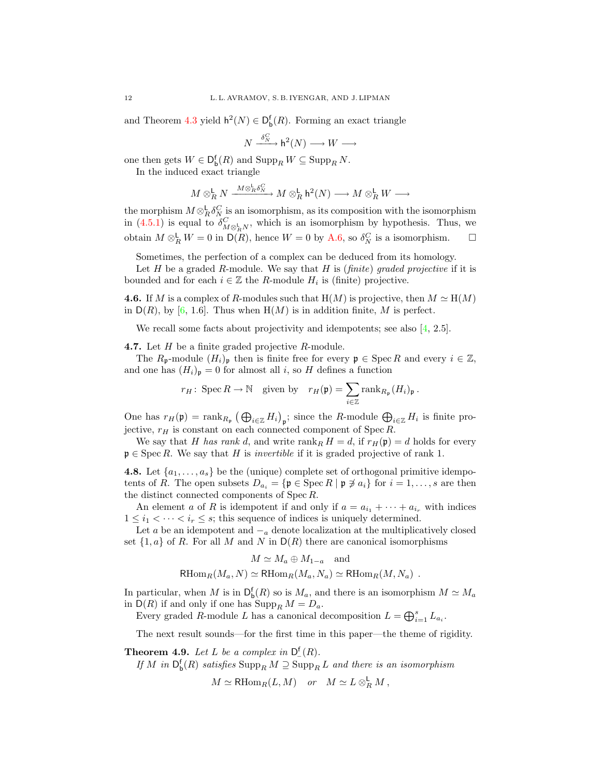and Theorem [4.3](#page-9-0) yield  $h^2(N) \in D_b^f(R)$ . Forming an exact triangle

$$
N \xrightarrow{\delta_N^C} \mathsf{h}^2(N) \longrightarrow W \longrightarrow
$$

one then gets  $W \in D_{\mathsf{b}}^{\mathsf{f}}(R)$  and  $\operatorname{Supp}_R W \subseteq \operatorname{Supp}_R N$ .

In the induced exact triangle

$$
M\otimes_R^{\mathsf{L}} N \xrightarrow{M\otimes_R^{\mathsf{L}} \delta_N^C} M\otimes_R^{\mathsf{L}} \mathsf{h}^2(N) \longrightarrow M\otimes_R^{\mathsf{L}} W \longrightarrow
$$

the morphism  $M \otimes_R^{\mathsf{L}} \delta_N^C$  is an isomorphism, as its composition with the isomorphism in [\(4.5.1\)](#page-10-0) is equal to  $\delta_{M \otimes_R^{\mathbb{L}} N}^C$ , which is an isomorphism by hypothesis. Thus, we obtain  $M \otimes_R^{\mathsf{L}} W = 0$  in  $\mathsf{D}(R)$ , hence  $W = 0$  by [A.6,](#page-29-11) so  $\delta_N^C$  is a isomorphism.  $\Box$ 

Sometimes, the perfection of a complex can be deduced from its homology.

Let  $H$  be a graded  $R$ -module. We say that  $H$  is (finite) graded projective if it is bounded and for each  $i \in \mathbb{Z}$  the R-module  $H_i$  is (finite) projective.

<span id="page-11-1"></span>**4.6.** If M is a complex of R-modules such that  $H(M)$  is projective, then  $M \simeq H(M)$ in  $D(R)$ , by [\[6,](#page-29-2) 1.6]. Thus when  $H(M)$  is in addition finite, M is perfect.

We recall some facts about projectivity and idempotents; see also [\[4,](#page-29-13) 2.5].

<span id="page-11-2"></span>**4.7.** Let  $H$  be a finite graded projective  $R$ -module.

The  $R_{\mathfrak{p}}$ -module  $(H_i)_{\mathfrak{p}}$  then is finite free for every  $\mathfrak{p} \in \text{Spec } R$  and every  $i \in \mathbb{Z}$ , and one has  $(H_i)_{\mathfrak{p}} = 0$  for almost all i, so H defines a function

$$
r_H\colon \operatorname{Spec} R \to \mathbb{N} \quad \text{given by} \quad r_H(\mathfrak{p}) = \sum_{i \in \mathbb{Z}} \operatorname{rank}_{R_{\mathfrak{p}}}(H_i)_{\mathfrak{p}}.
$$

One has  $r_H(\mathfrak{p}) = \text{rank}_{R_{\mathfrak{p}}} (\bigoplus_{i \in \mathbb{Z}} H_i)_{\mathfrak{p}}$ ; since the R-module  $\bigoplus_{i \in \mathbb{Z}} H_i$  is finite projective,  $r_H$  is constant on each connected component of Spec R.

We say that H has rank d, and write rank  $H = d$ , if  $r_H(\mathfrak{p}) = d$  holds for every  $\mathfrak{p} \in \operatorname{Spec} R$ . We say that H is *invertible* if it is graded projective of rank 1.

<span id="page-11-0"></span>**4.8.** Let  $\{a_1, \ldots, a_s\}$  be the (unique) complete set of orthogonal primitive idempotents of R. The open subsets  $D_{a_i} = {\mathfrak{p} \in \text{Spec } R \mid \mathfrak{p} \not\ni a_i}$  for  $i = 1, \ldots, s$  are then the distinct connected components of Spec R.

An element a of R is idempotent if and only if  $a = a_{i_1} + \cdots + a_{i_r}$  with indices  $1 \leq i_1 < \cdots < i_r \leq s$ ; this sequence of indices is uniquely determined.

Let a be an idempotent and  $-<sub>a</sub>$  denote localization at the multiplicatively closed set  $\{1, a\}$  of R. For all M and N in  $D(R)$  there are canonical isomorphisms

$$
M \simeq M_a \oplus M_{1-a} \text{ and}
$$
  
RHom<sub>R</sub> $(M_a, N) \simeq$ RHom<sub>R</sub> $(M_a, N_a) \simeq$ RHom<sub>R</sub> $(M, N_a)$ .

In particular, when M is in  $\mathsf{D}^{\mathsf{f}}_{\mathsf{b}}(R)$  so is  $M_a$ , and there is an isomorphism  $M \simeq M_a$ in  $D(R)$  if and only if one has  $\text{Supp}_R M = D_a$ .

Every graded R-module L has a canonical decomposition  $L = \bigoplus_{i=1}^{s} L_{a_i}$ .

The next result sounds—for the first time in this paper—the theme of rigidity.

<span id="page-11-3"></span>**Theorem 4.9.** Let L be a complex in  $D_{-}^{f}(R)$ .

If M in  $\mathsf{D}^{\mathsf{f}}_{\mathsf{b}}(R)$  satisfies  $\mathrm{Supp}_R M \supseteq \mathrm{Supp}_R L$  and there is an isomorphism

$$
M \simeq \mathrm{RHom}_R(L, M) \quad or \quad M \simeq L \otimes_R^{\mathsf{L}} M ,
$$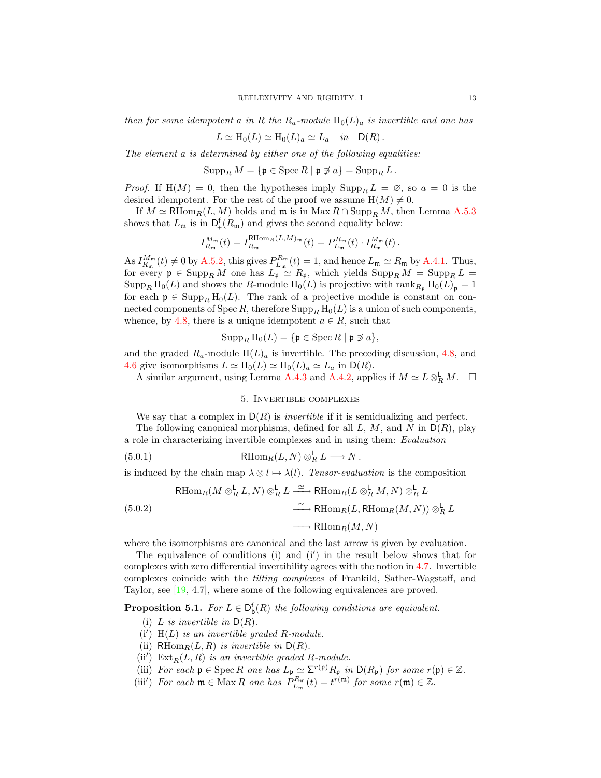then for some idempotent a in R the  $R_a$ -module  $H_0(L)_a$  is invertible and one has

$$
L \simeq \mathrm{H}_0(L) \simeq \mathrm{H}_0(L)_a \simeq L_a \quad in \quad \mathsf{D}(R) \, .
$$

The element a is determined by either one of the following equalities:

 $\operatorname{Supp}_R M = \{ \mathfrak{p} \in \operatorname{Spec} R \mid \mathfrak{p} \not\ni a \} = \operatorname{Supp}_R L$ .

*Proof.* If  $H(M) = 0$ , then the hypotheses imply  $\text{Supp}_R L = \emptyset$ , so  $a = 0$  is the desired idempotent. For the rest of the proof we assume  $H(M) \neq 0$ .

If  $M \simeq \mathrm{RHom}_R(L, M)$  holds and  $\mathfrak{m}$  is in  $\mathrm{Max} \, R \cap \mathrm{Supp}_R M$ , then Lemma [A.5.3](#page-28-1) shows that  $L_{\mathfrak{m}}$  is in  $\mathsf{D}^{\mathsf{f}}_{+}(R_{\mathfrak{m}})$  and gives the second equality below:

$$
I_{R_{\mathfrak{m}}}^{M_{\mathfrak{m}}}(t) = I_{R_{\mathfrak{m}}}^{\text{RHom}_{R}(L,M)_{\mathfrak{m}}}(t) = P_{L_{\mathfrak{m}}}^{R_{\mathfrak{m}}}(t) \cdot I_{R_{\mathfrak{m}}}^{M_{\mathfrak{m}}}(t).
$$

As  $I_{R_{\mathfrak{m}}}^{M_{\mathfrak{m}}}(t) \neq 0$  by [A.5.2,](#page-28-2) this gives  $P_{L_{\mathfrak{m}}}^{R_{\mathfrak{m}}}(t) = 1$ , and hence  $L_{\mathfrak{m}} \simeq R_{\mathfrak{m}}$  by [A.4.1.](#page-27-1) Thus, for every  $\mathfrak{p} \in \text{Supp}_R M$  one has  $L_{\mathfrak{p}} \simeq R_{\mathfrak{p}}$ , which yields  $\text{Supp}_R M = \text{Supp}_R L =$  $\operatorname{Supp}_R H_0(L)$  and shows the R-module  $H_0(L)$  is projective with rank $R_p H_0(L)_p = 1$ for each  $\mathfrak{p} \in \text{Supp}_B H_0(L)$ . The rank of a projective module is constant on connected components of Spec R, therefore  $\text{Supp}_R H_0(L)$  is a union of such components, whence, by [4.8,](#page-11-0) there is a unique idempotent  $a \in R$ , such that

$$
\operatorname{Supp}_R \mathrm{H}_0(L) = \{ \mathfrak{p} \in \operatorname{Spec} R \mid \mathfrak{p} \not\ni a \},
$$

and the graded  $R_a$ -module  $H(L)_a$  is invertible. The preceding discussion, [4.8,](#page-11-0) and [4.6](#page-11-1) give isomorphisms  $L \simeq H_0(L) \simeq H_0(L)_a \simeq L_a$  in  $\mathsf{D}(R)$ .

A similar argument, using Lemma [A.4.3](#page-27-0) and [A.4.2,](#page-27-2) applies if  $M \simeq L \otimes_R^{\mathsf{L}} M$ .  $\Box$ 

#### <span id="page-12-1"></span>5. Invertible complexes

<span id="page-12-0"></span>We say that a complex in  $D(R)$  is *invertible* if it is semidualizing and perfect.

The following canonical morphisms, defined for all  $L, M$ , and N in  $D(R)$ , play a role in characterizing invertible complexes and in using them: Evaluation

(5.0.1) 
$$
\operatorname{RHom}_R(L, N) \otimes_R^{\mathsf{L}} L \longrightarrow N.
$$

is induced by the chain map  $\lambda \otimes l \mapsto \lambda(l)$ . Tensor-evaluation is the composition

<span id="page-12-2"></span>
$$
\begin{aligned}\n\text{RHom}_R(M \otimes_R^{\mathsf{L}} L, N) \otimes_R^{\mathsf{L}} L &\xrightarrow{\simeq} \text{RHom}_R(L \otimes_R^{\mathsf{L}} M, N) \otimes_R^{\mathsf{L}} L \\
&\xrightarrow{\simeq} \text{RHom}_R(L, \text{RHom}_R(M, N)) \otimes_R^{\mathsf{L}} L \\
&\xrightarrow{\simeq} \text{RHom}_R(M, N)\n\end{aligned}
$$

where the isomorphisms are canonical and the last arrow is given by evaluation.

The equivalence of conditions  $(i)$  and  $(i')$  in the result below shows that for complexes with zero differential invertibility agrees with the notion in [4.7.](#page-11-2) Invertible complexes coincide with the tilting complexes of Frankild, Sather-Wagstaff, and Taylor, see [\[19,](#page-30-7) 4.7], where some of the following equivalences are proved.

<span id="page-12-3"></span>**Proposition 5.1.** For  $L \in D_b^f(R)$  the following conditions are equivalent.

- (i) L is invertible in  $D(R)$ .
- $(i')$  H(L) is an invertible graded R-module.
- (ii)  $\mathrm{RHom}_R(L, R)$  is invertible in  $\mathrm{D}(R)$ .
- (ii')  $\text{Ext}_R(L, R)$  is an invertible graded R-module.
- (iii) For each  $\mathfrak{p} \in \operatorname{Spec} R$  one has  $L_{\mathfrak{p}} \simeq \Sigma^{r(\mathfrak{p})} R_{\mathfrak{p}}$  in  $\mathsf{D}(R_{\mathfrak{p}})$  for some  $r(\mathfrak{p}) \in \mathbb{Z}$ .
- (iii') For each  $\mathfrak{m} \in \text{Max } R$  one has  $P_{L_{\mathfrak{m}}}^{R_{\mathfrak{m}}}(t) = t^{r(\mathfrak{m})}$  for some  $r(\mathfrak{m}) \in \mathbb{Z}$ .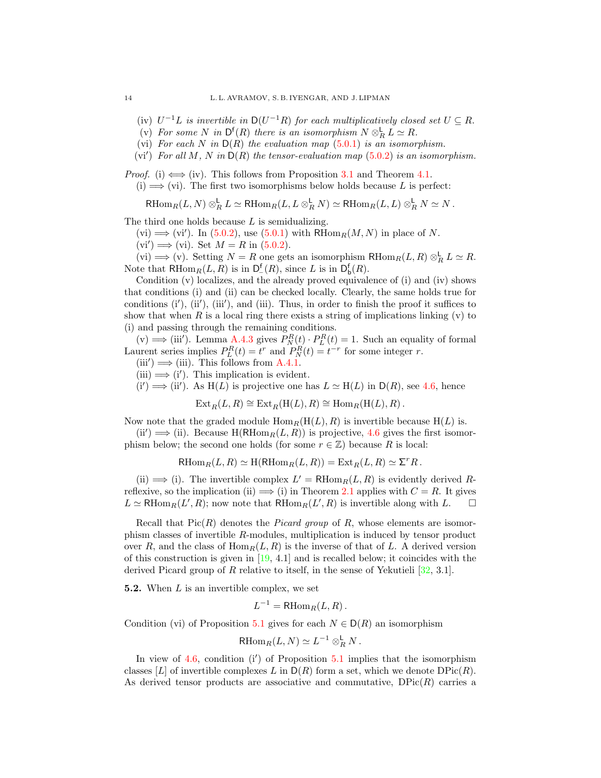(iv)  $U^{-1}L$  is invertible in  $D(U^{-1}R)$  for each multiplicatively closed set  $U \subseteq R$ .

- (v) For some N in  $\mathsf{D}^{\mathsf{f}}(R)$  there is an isomorphism  $N \otimes_R^{\mathsf{L}} L \simeq R$ .
- (vi) For each N in  $D(R)$  the evaluation map  $(5.0.1)$  is an isomorphism.
- (vi') For all M, N in  $D(R)$  the tensor-evaluation map  $(5.0.2)$  is an isomorphism.

*Proof.* (i)  $\Longleftrightarrow$  (iv). This follows from Proposition [3.1](#page-7-3) and Theorem [4.1.](#page-8-2)

 $(i) \Longrightarrow$  (vi). The first two isomorphisms below holds because L is perfect:

RHom<sub>R</sub> $(L, N) \otimes_R^{\mathsf{L}} L \simeq$  RHom<sub>R</sub> $(L, L \otimes_R^{\mathsf{L}} N) \simeq$  RHom<sub>R</sub> $(L, L) \otimes_R^{\mathsf{L}} N \simeq N$ .

The third one holds because  $L$  is semidualizing.

 $(vi) \Longrightarrow (vi')$ . In [\(5.0.2\)](#page-12-2), use [\(5.0.1\)](#page-12-1) with RHom<sub>R</sub> $(M, N)$  in place of N.

 $(vi') \Longrightarrow (vi)$ . Set  $M = R$  in  $(5.0.2)$ .

(vi)  $\Longrightarrow$  (v). Setting  $N = R$  one gets an isomorphism  $RHom_R(L, R) \otimes_R^{\mathsf{L}} L \simeq R$ . Note that  $\text{RHom}_R(L, R)$  is in  $\mathsf{D}_-^{\mathsf{f}}(R)$ , since L is in  $\mathsf{D}_{\mathsf{b}}^{\mathsf{f}}(R)$ .

Condition (v) localizes, and the already proved equivalence of (i) and (iv) shows that conditions (i) and (ii) can be checked locally. Clearly, the same holds true for conditions  $(i')$ ,  $(ii')$ ,  $(iii')$ , and  $(iii)$ . Thus, in order to finish the proof it suffices to show that when R is a local ring there exists a string of implications linking  $(v)$  to (i) and passing through the remaining conditions.

(v)  $\Longrightarrow$  (iii'). Lemma [A.4.3](#page-27-0) gives  $P_N^R(t) \cdot P_L^R(t) = 1$ . Such an equality of formal Laurent series implies  $P_L^R(t) = t^r$  and  $P_N^R(t) = t^{-r}$  for some integer r.

 $(iii') \implies (iii)$ . This follows from [A.4.1.](#page-27-1)

 $(iii) \Longrightarrow (i')$ . This implication is evident.

 $(i') \Longrightarrow (ii')$ . As  $H(L)$  is projective one has  $L \simeq H(L)$  in  $D(R)$ , see [4.6,](#page-11-1) hence

 $\text{Ext}_R(L, R) \cong \text{Ext}_R(\text{H}(L), R) \cong \text{Hom}_R(\text{H}(L), R)$ .

Now note that the graded module  $\text{Hom}_R(H(L), R)$  is invertible because  $H(L)$  is.

 $(ii') \Longrightarrow (ii)$ . Because  $H(RHom_R(L, R))$  is projective, [4.6](#page-11-1) gives the first isomorphism below; the second one holds (for some  $r \in \mathbb{Z}$ ) because R is local:

 $\operatorname{RHom}_R(L, R) \simeq \operatorname{H}(\operatorname{RHom}_R(L, R)) = \operatorname{Ext}_R(L, R) \simeq \Sigma^r R$ .

(ii)  $\implies$  (i). The invertible complex  $L' = \text{RHom}_R(L, R)$  is evidently derived Rreflexive, so the implication (ii)  $\implies$  (i) in Theorem [2.1](#page-5-3) applies with  $C = R$ . It gives  $L \simeq \text{RHom}_R(L', R)$ ; now note that  $\text{RHom}_R(L', R)$  is invertible along with  $L$ .

Recall that  $Pic(R)$  denotes the *Picard group* of R, whose elements are isomorphism classes of invertible R-modules, multiplication is induced by tensor product over R, and the class of  $\text{Hom}_R(L, R)$  is the inverse of that of L. A derived version of this construction is given in  $[19, 4.1]$  $[19, 4.1]$  and is recalled below; it coincides with the derived Picard group of R relative to itself, in the sense of Yekutieli [\[32,](#page-30-12) 3.1].

<span id="page-13-0"></span>5.2. When L is an invertible complex, we set

 $L^{-1} = \text{RHom}_R(L, R)$ .

Condition (vi) of Proposition [5.1](#page-12-3) gives for each  $N \in D(R)$  an isomorphism

$$
\text{RHom}_R(L, N) \simeq L^{-1} \otimes_R^{\mathsf{L}} N \, .
$$

In view of  $4.6$ , condition (i') of Proposition  $5.1$  implies that the isomorphism classes [L] of invertible complexes L in  $D(R)$  form a set, which we denote  $DPic(R)$ . As derived tensor products are associative and commutative,  $DFic(R)$  carries a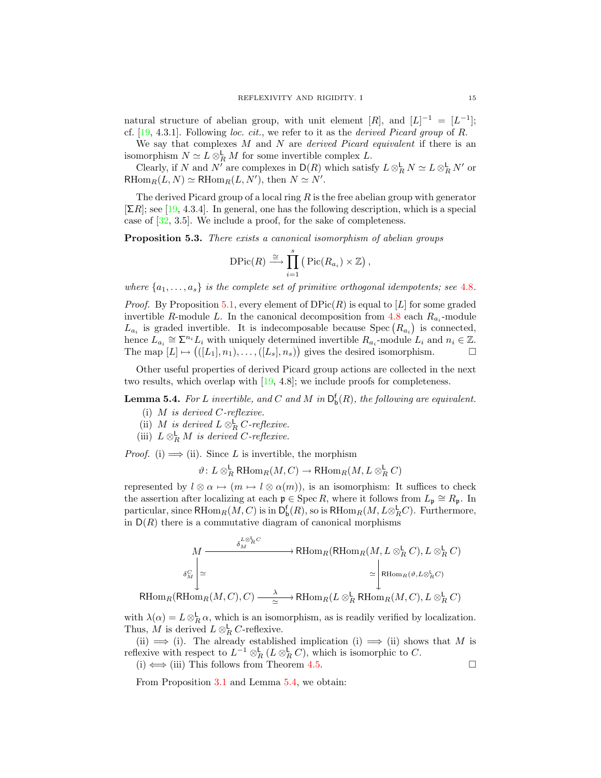natural structure of abelian group, with unit element  $[R]$ , and  $[L]^{-1} = [L^{-1}]$ ; cf.  $[19, 4.3.1]$  $[19, 4.3.1]$ . Following loc. cit., we refer to it as the *derived Picard group* of R.

We say that complexes  $M$  and  $N$  are *derived Picard equivalent* if there is an isomorphism  $N \simeq L \otimes_R^{\mathsf{L}} M$  for some invertible complex L.

Clearly, if N and N' are complexes in  $\mathsf{D}(R)$  which satisfy  $L \otimes_R^{\mathsf{L}} N \simeq L \otimes_R^{\mathsf{L}} N'$  or RHom<sub>R</sub> $(L, N) \simeq$  RHom<sub>R</sub> $(L, N')$ , then  $N \simeq N'$ .

The derived Picard group of a local ring  $R$  is the free abelian group with generator  $[\Sigma R]$ ; see [\[19,](#page-30-7) 4.3.4]. In general, one has the following description, which is a special case of [\[32,](#page-30-12) 3.5]. We include a proof, for the sake of completeness.

Proposition 5.3. There exists a canonical isomorphism of abelian groups

$$
\text{DPic}(R) \stackrel{\cong}{\longrightarrow} \prod_{i=1}^s \left( \text{Pic}(R_{a_i}) \times \mathbb{Z} \right),
$$

where  $\{a_1, \ldots, a_s\}$  is the complete set of primitive orthogonal idempotents; see [4.8](#page-11-0).

*Proof.* By Proposition [5.1,](#page-12-3) every element of  $DPic(R)$  is equal to [L] for some graded invertible R-module L. In the canonical decomposition from [4.8](#page-11-0) each  $R_{a_i}$ -module  $L_{a_i}$  is graded invertible. It is indecomposable because Spec  $(R_{a_i})$  is connected, hence  $L_{a_i} \cong \sum^{n_i} L_i$  with uniquely determined invertible  $R_{a_i}$ -module  $L_i$  and  $n_i \in \mathbb{Z}$ . The map  $[L] \mapsto (([L_1], n_1), \ldots, ([L_s], n_s))$  gives the desired isomorphism.  $\Box$ 

Other useful properties of derived Picard group actions are collected in the next two results, which overlap with [\[19,](#page-30-7) 4.8]; we include proofs for completeness.

<span id="page-14-0"></span>**Lemma 5.4.** For L invertible, and C and M in  $D_b^f(R)$ , the following are equivalent.

- (i)  $M$  is derived  $C$ -reflexive.
- (ii) M is derived  $L \otimes_R^{\mathsf{L}} C$ -reflexive.
- (iii)  $L \otimes_R^{\mathsf{L}} M$  is derived C-reflexive.

*Proof.* (i)  $\implies$  (ii). Since L is invertible, the morphism

 $\vartheta\colon L\otimes^{\mathsf{L}}_R \mathsf{RHom}_R(M, C)\to \mathsf{RHom}_R(M, L\otimes^{\mathsf{L}}_R C)$ 

represented by  $l \otimes \alpha \mapsto (m \mapsto l \otimes \alpha(m))$ , is an isomorphism: It suffices to check the assertion after localizing at each  $\mathfrak{p} \in \text{Spec } R$ , where it follows from  $L_{\mathfrak{p}} \cong R_{\mathfrak{p}}$ . In particular, since  $\text{RHom}_R(M, C)$  is in  $\mathsf{D}^{\mathsf{f}}_\mathsf{b}(R)$ , so is  $\text{RHom}_R(M, L \otimes_R^\mathsf{L} C)$ . Furthermore, in  $D(R)$  there is a commutative diagram of canonical morphisms

$$
M \xrightarrow{\delta_M^{L \otimes_R^{\mathbb{L}} C}} \text{RHom}_R(\text{RHom}_R(M, L \otimes_R^{\mathbb{L}} C), L \otimes_R^{\mathbb{L}} C)
$$

$$
\delta_M^C \xrightarrow{\delta_M^C} \simeq \text{RHom}_R(\mathfrak{H}, L \otimes_R^{\mathbb{L}} C)
$$

$$
\text{RHom}_R(\text{RHom}_R(M, C), C) \xrightarrow{\lambda} \text{RHom}_R(L \otimes_R^{\mathbb{L}} \text{RHom}_R(M, C), L \otimes_R^{\mathbb{L}} C)
$$

with  $\lambda(\alpha) = L \otimes_R^{\mathsf{L}} \alpha$ , which is an isomorphism, as is readily verified by localization. Thus, M is derived  $L \otimes_R^{\mathsf{L}} C$ -reflexive.

(ii)  $\implies$  (i). The already established implication (i)  $\implies$  (ii) shows that M is reflexive with respect to  $L^{-1} \otimes_R^{\mathsf{L}} (L \otimes_R^{\mathsf{L}} C)$ , which is isomorphic to C.

(i)  $\Longleftrightarrow$  (iii) This follows from Theorem [4.5.](#page-10-1)  $□$ 

<span id="page-14-1"></span>From Proposition [3.1](#page-7-3) and Lemma [5.4,](#page-14-0) we obtain: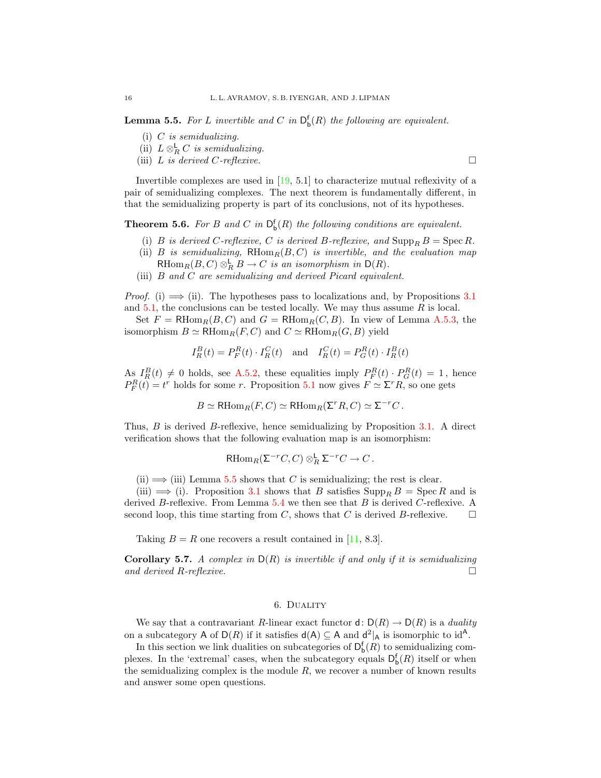**Lemma 5.5.** For L invertible and C in  $D_b^f(R)$  the following are equivalent.

- (i)  $C$  is semidualizing.
- (ii)  $L \otimes_R^{\mathsf{L}} C$  is semidualizing.
- (iii) L is derived C-reflexive.

Invertible complexes are used in [\[19,](#page-30-7) 5.1] to characterize mutual reflexivity of a pair of semidualizing complexes. The next theorem is fundamentally different, in that the semidualizing property is part of its conclusions, not of its hypotheses.

<span id="page-15-1"></span>**Theorem 5.6.** For B and C in  $D_b^f(R)$  the following conditions are equivalent.

- (i) B is derived C-reflexive, C is derived B-reflexive, and  $\text{Supp}_B B = \text{Spec } R$ .
- (ii) B is semidualizing,  $RHom_R(B, C)$  is invertible, and the evaluation map RHom $_R(B, C) \otimes_R^{\mathsf{L}} B \to C$  is an isomorphism in  $\mathsf{D}(R)$ .
- (iii) B and C are semidualizing and derived Picard equivalent.

*Proof.* (i)  $\implies$  (ii). The hypotheses pass to localizations and, by Propositions [3.1](#page-7-3) and  $5.1$ , the conclusions can be tested locally. We may thus assume R is local.

Set  $F = \text{RHom}_R(B, C)$  and  $G = \text{RHom}_R(C, B)$ . In view of Lemma [A.5.3,](#page-28-1) the isomorphism  $B \simeq \mathrm{RHom}_R(F, C)$  and  $C \simeq \mathrm{RHom}_R(G, B)$  yield

$$
I_R^B(t) = P_F^R(t) \cdot I_R^C(t) \quad \text{and} \quad I_R^C(t) = P_G^R(t) \cdot I_R^B(t)
$$

As  $I_R^B(t) \neq 0$  holds, see [A.5.2,](#page-28-2) these equalities imply  $P_F^R(t) \cdot P_G^R(t) = 1$ , hence  $P_F^R(t) = t^r$  holds for some r. Proposition [5.1](#page-12-3) now gives  $F \simeq \Sigma^r R$ , so one gets

$$
B \simeq \mathrm{RHom}_R(F, C) \simeq \mathrm{RHom}_R(\Sigma^r R, C) \simeq \Sigma^{-r} C.
$$

Thus, B is derived B-reflexive, hence semidualizing by Proposition [3.1.](#page-7-3) A direct verification shows that the following evaluation map is an isomorphism:

$$
\mathrm{RHom}_R(\Sigma^{-r}C,C)\otimes_R^{\mathsf{L}}\Sigma^{-r}C\to C.
$$

(ii)  $\implies$  (iii) Lemma [5.5](#page-14-1) shows that C is semidualizing; the rest is clear.

(iii)  $\implies$  (i). Proposition [3.1](#page-7-3) shows that B satisfies  $\text{Supp}_B B = \text{Spec } R$  and is derived B-reflexive. From Lemma  $5.4$  we then see that B is derived C-reflexive. A second loop, this time starting from C, shows that C is derived B-reflexive.  $\square$ 

Taking  $B = R$  one recovers a result contained in [\[11,](#page-29-5) 8.3].

<span id="page-15-2"></span>**Corollary 5.7.** A complex in  $D(R)$  is invertible if and only if it is semidualizing and derived R-reflexive.  $\Box$ 

# 6. Duality

<span id="page-15-0"></span>We say that a contravariant R-linear exact functor  $d: D(R) \to D(R)$  is a *duality* on a subcategory A of  $D(R)$  if it satisfies  $d(A) \subseteq A$  and  $d^2|_A$  is isomorphic to  $id^A$ .

In this section we link dualities on subcategories of  $D_b^f(R)$  to semidualizing complexes. In the 'extremal' cases, when the subcategory equals  $D_{b}^{f}(R)$  itself or when the semidualizing complex is the module  $R$ , we recover a number of known results and answer some open questions.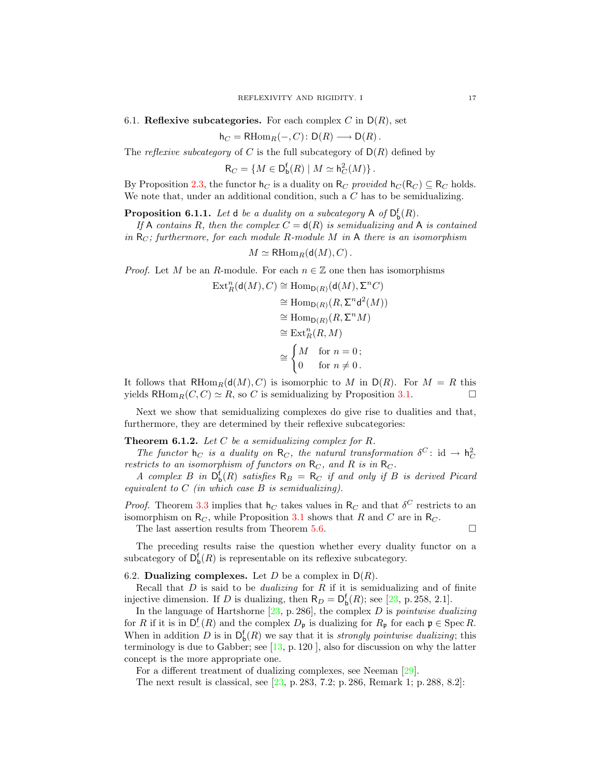<span id="page-16-0"></span>6.1. Reflexive subcategories. For each complex C in  $D(R)$ , set

$$
h_C = R\mathrm{Hom}_R(-,C) \colon D(R) \longrightarrow D(R).
$$

The *reflexive subcategory* of C is the full subcategory of  $D(R)$  defined by

 $R_C = \{M \in \mathsf{D}^{\mathsf{f}}_{\mathsf{b}}(R) \mid M \simeq \mathsf{h}_C^2(M)\}.$ 

By Proposition [2.3,](#page-6-0) the functor  $h_C$  is a duality on  $R_C$  provided  $h_C (R_C) \subseteq R_C$  holds. We note that, under an additional condition, such a C has to be semidualizing.

<span id="page-16-2"></span>**Proposition 6.1.1.** Let  $d$  be a duality on a subcategory  $A$  of  $D_b^f(R)$ .

If A contains R, then the complex  $C = d(R)$  is semidualizing and A is contained in  $R_C$ ; furthermore, for each module R-module M in A there is an isomorphism

 $M \simeq \mathrm{RHom}_R(\mathsf{d}(M), C)$ .

*Proof.* Let M be an R-module. For each  $n \in \mathbb{Z}$  one then has isomorphisms

$$
\operatorname{Ext}^n_R(\mathsf{d}(M), C) \cong \operatorname{Hom}_{\mathsf{D}(R)}(\mathsf{d}(M), \Sigma^n C)
$$
  
\n
$$
\cong \operatorname{Hom}_{\mathsf{D}(R)}(R, \Sigma^n \mathsf{d}^2(M))
$$
  
\n
$$
\cong \operatorname{Hom}_{\mathsf{D}(R)}(R, \Sigma^n M)
$$
  
\n
$$
\cong \operatorname{Ext}^n_R(R, M)
$$
  
\n
$$
\cong \begin{cases} M & \text{for } n = 0; \\ 0 & \text{for } n \neq 0. \end{cases}
$$

It follows that  $R\text{Hom}_R(d(M), C)$  is isomorphic to M in  $D(R)$ . For  $M = R$  this yields RHom<sub>R</sub> $(C, C) \simeq R$ , so C is semidualizing by Proposition [3.1.](#page-7-3)

Next we show that semidualizing complexes do give rise to dualities and that, furthermore, they are determined by their reflexive subcategories:

**Theorem 6.1.2.** Let  $C$  be a semidualizing complex for  $R$ .

The functor  $h_C$  is a duality on  $R_C$ , the natural transformation  $\delta^C$ : id  $\rightarrow h_C^2$ restricts to an isomorphism of functors on  $R_C$ , and R is in  $R_C$ .

A complex B in  $\mathsf{D}^{\mathsf{f}}_{\mathsf{b}}(R)$  satisfies  $\mathsf{R}_B = \mathsf{R}_C$  if and only if B is derived Picard equivalent to  $C$  (in which case  $B$  is semidualizing).

*Proof.* Theorem [3.3](#page-7-1) implies that  $h_C$  takes values in  $R_C$  and that  $\delta^C$  restricts to an isomorphism on  $R_C$ , while Proposition [3.1](#page-7-3) shows that R and C are in  $R_C$ .

The last assertion results from Theorem [5.6.](#page-15-1)  $\Box$ 

The preceding results raise the question whether every duality functor on a subcategory of  $D_b^f(R)$  is representable on its reflexive subcategory.

## <span id="page-16-1"></span>6.2. Dualizing complexes. Let D be a complex in  $D(R)$ .

Recall that  $D$  is said to be *dualizing* for  $R$  if it is semidualizing and of finite injective dimension. If D is dualizing, then  $R_D = D_b^f(R)$ ; see [\[23,](#page-30-1) p. 258, 2.1].

In the language of Hartshorne  $[23, p. 286]$  $[23, p. 286]$ , the complex D is *pointwise dualizing* for R if it is in  $D_{-}^{f}(R)$  and the complex  $D_{\mathfrak{p}}$  is dualizing for  $R_{\mathfrak{p}}$  for each  $\mathfrak{p} \in \mathrm{Spec} R$ . When in addition D is in  $\mathsf{D}_{\mathsf{b}}^{\mathsf{f}}(R)$  we say that it is *strongly pointwise dualizing*; this terminology is due to Gabber; see  $[13, p. 120]$  $[13, p. 120]$ , also for discussion on why the latter concept is the more appropriate one.

For a different treatment of dualizing complexes, see Neeman [\[29\]](#page-30-13).

<span id="page-16-3"></span>The next result is classical, see [\[23,](#page-30-1) p. 283, 7.2; p. 286, Remark 1; p. 288, 8.2]: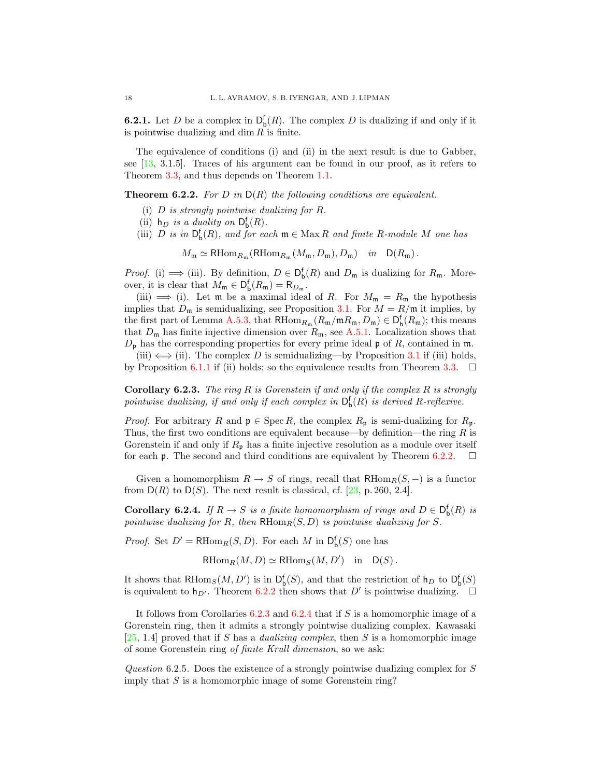**6.2.1.** Let D be a complex in  $D_b^f(R)$ . The complex D is dualizing if and only if it is pointwise dualizing and dim  $R$  is finite.

The equivalence of conditions (i) and (ii) in the next result is due to Gabber, see [\[13,](#page-29-8) 3.1.5]. Traces of his argument can be found in our proof, as it refers to Theorem [3.3,](#page-7-1) and thus depends on Theorem [1.1.](#page-3-0)

<span id="page-17-0"></span>**Theorem 6.2.2.** For D in  $D(R)$  the following conditions are equivalent.

- (i) D is strongly pointwise dualizing for R.
- (ii)  $h_D$  is a duality on  $D_b^f(R)$ .
- (iii) D is in  $\mathsf{D}^{\mathsf{f}}_{\mathsf{b}}(R)$ , and for each  $\mathfrak{m} \in \text{Max } R$  and finite R-module M one has

 $M_{\mathfrak{m}} \simeq \mathrm{RHom}_{R_{\mathfrak{m}}}(\mathrm{RHom}_{R_{\mathfrak{m}}}(M_{\mathfrak{m}}, D_{\mathfrak{m}}), D_{\mathfrak{m}})$  in  $D(R_{\mathfrak{m}})$ .

*Proof.* (i)  $\implies$  (iii). By definition,  $D \in D_b^f(R)$  and  $D_m$  is dualizing for  $R_m$ . Moreover, it is clear that  $M_{\mathfrak{m}} \in D_{\mathfrak{b}}^{\mathfrak{f}}(R_{\mathfrak{m}}) = R_{D_{\mathfrak{m}}}$ .

(iii)  $\implies$  (i). Let m be a maximal ideal of R. For  $M_m = R_m$  the hypothesis implies that  $D_m$  is semidualizing, see Proposition [3.1.](#page-7-3) For  $M = R/\mathfrak{m}$  it implies, by the first part of Lemma [A.5.3,](#page-28-1) that  $RHom_{R_{\mathfrak{m}}}(R_{\mathfrak{m}}/\mathfrak{m}R_{\mathfrak{m}},D_{\mathfrak{m}}) \in D_{\mathfrak{b}}^{\mathfrak{f}}(R_{\mathfrak{m}})$ ; this means that  $D_m$  has finite injective dimension over  $R_m$ , see [A.5.1.](#page-28-0) Localization shows that  $D_{\mathfrak{p}}$  has the corresponding properties for every prime ideal  $\mathfrak{p}$  of R, contained in  $\mathfrak{m}$ .

(iii)  $\iff$  (ii). The complex D is semidualizing—by Proposition [3.1](#page-7-3) if (iii) holds, by Proposition [6.1.1](#page-16-2) if (ii) holds; so the equivalence results from Theorem [3.3.](#page-7-1)  $\Box$ 

<span id="page-17-1"></span>**Corollary 6.2.3.** The ring R is Gorenstein if and only if the complex R is strongly pointwise dualizing, if and only if each complex in  $\mathsf{D}^\mathsf{f}_\mathsf{b}(R)$  is derived R-reflexive.

*Proof.* For arbitrary R and  $\mathfrak{p} \in \text{Spec } R$ , the complex  $R_{\mathfrak{p}}$  is semi-dualizing for  $R_{\mathfrak{p}}$ . Thus, the first two conditions are equivalent because—by definition—the ring  $R$  is Gorenstein if and only if  $R_p$  has a finite injective resolution as a module over itself for each **p**. The second and third conditions are equivalent by Theorem [6.2.2.](#page-17-0)  $\Box$ 

Given a homomorphism  $R \to S$  of rings, recall that  $R\text{Hom}_R(S, -)$  is a functor from  $D(R)$  to  $D(S)$ . The next result is classical, cf. [\[23,](#page-30-1) p. 260, 2.4].

<span id="page-17-2"></span>**Corollary 6.2.4.** If  $R \to S$  is a finite homomorphism of rings and  $D \in D_{b}^{f}(R)$  is pointwise dualizing for R, then  $R\text{Hom}_R(S, D)$  is pointwise dualizing for S.

*Proof.* Set  $D' = \text{RHom}_R(S, D)$ . For each M in  $D_b^{\mathsf{f}}(S)$  one has

 $\text{RHom}_R(M, D) \simeq \text{RHom}_S(M, D')$  in  $D(S)$ .

It shows that RHom<sub>S</sub> $(M, D')$  is in  $D_b^f(S)$ , and that the restriction of  $h_D$  to  $D_b^f(S)$ is equivalent to  $h_{D'}$ . Theorem [6.2.2](#page-17-0) then shows that D' is pointwise dualizing.

It follows from Corollaries [6.2.3](#page-17-1) and [6.2.4](#page-17-2) that if S is a homomorphic image of a Gorenstein ring, then it admits a strongly pointwise dualizing complex. Kawasaki [\[25,](#page-30-14) 1.4] proved that if S has a *dualizing complex*, then S is a homomorphic image of some Gorenstein ring of finite Krull dimension, so we ask:

Question 6.2.5. Does the existence of a strongly pointwise dualizing complex for S imply that  $S$  is a homomorphic image of some Gorenstein ring?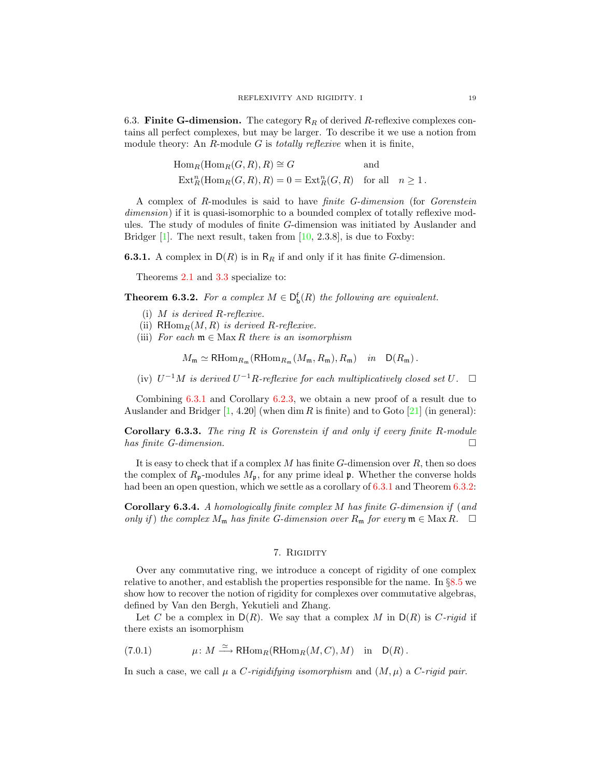<span id="page-18-0"></span>6.3. Finite G-dimension. The category  $R_R$  of derived R-reflexive complexes contains all perfect complexes, but may be larger. To describe it we use a notion from module theory: An  $R$ -module  $G$  is *totally reflexive* when it is finite,

$$
\begin{aligned} &\mathrm{Hom}_{R}(\mathrm{Hom}_{R}(G, R), R) \cong G &\qquad \text{and} \\ &\mathrm{Ext}^{n}_{R}(\mathrm{Hom}_{R}(G, R), R) = 0 = \mathrm{Ext}^{n}_{R}(G, R) &\quad \text{for all} \quad n \geq 1\,. \end{aligned}
$$

A complex of R-modules is said to have finite G-dimension (for Gorenstein dimension) if it is quasi-isomorphic to a bounded complex of totally reflexive modules. The study of modules of finite G-dimension was initiated by Auslander and Bridger  $[1]$ . The next result, taken from  $[10, 2.3.8]$  $[10, 2.3.8]$ , is due to Foxby:

<span id="page-18-3"></span>**6.3.1.** A complex in  $D(R)$  is in  $R_R$  if and only if it has finite G-dimension.

Theorems [2.1](#page-5-3) and [3.3](#page-7-1) specialize to:

<span id="page-18-4"></span>**Theorem 6.3.2.** For a complex  $M \in D_{b}^{f}(R)$  the following are equivalent.

- (i) M is derived R-reflexive.
- (ii)  $\mathrm{RHom}_R(M, R)$  is derived R-reflexive.
- (iii) For each  $\mathfrak{m} \in \mathbb{M}$  ax R there is an isomorphism

 $M_{\mathfrak{m}} \simeq \mathrm{RHom}_{R_{\mathfrak{m}}}(\mathrm{RHom}_{R_{\mathfrak{m}}}(M_{\mathfrak{m}}, R_{\mathfrak{m}}), R_{\mathfrak{m}})$  in  $D(R_{\mathfrak{m}})$ .

(iv)  $U^{-1}M$  is derived  $U^{-1}R$ -reflexive for each multiplicatively closed set U. □

Combining [6.3.1](#page-18-3) and Corollary [6.2.3,](#page-17-1) we obtain a new proof of a result due to Auslander and Bridger  $[1, 4.20]$  $[1, 4.20]$  (when dim R is finite) and to Goto  $[21]$  (in general):

**Corollary 6.3.3.** The ring  $R$  is Gorenstein if and only if every finite  $R$ -module has finite G-dimension.  $\Box$ 

It is easy to check that if a complex  $M$  has finite  $G$ -dimension over  $R$ , then so does the complex of  $R_p$ -modules  $M_p$ , for any prime ideal  $\mathfrak p$ . Whether the converse holds had been an open question, which we settle as a corollary of [6.3.1](#page-18-3) and Theorem [6.3.2:](#page-18-4)

<span id="page-18-2"></span>Corollary 6.3.4. A homologically finite complex M has finite G-dimension if (and only if) the complex  $M_{\mathfrak{m}}$  has finite G-dimension over  $R_{\mathfrak{m}}$  for every  $\mathfrak{m} \in \text{Max } R$ .  $\Box$ 

#### 7. RIGIDITY

<span id="page-18-1"></span>Over any commutative ring, we introduce a concept of rigidity of one complex relative to another, and establish the properties responsible for the name. In §[8.5](#page-23-2) we show how to recover the notion of rigidity for complexes over commutative algebras, defined by Van den Bergh, Yekutieli and Zhang.

Let C be a complex in  $D(R)$ . We say that a complex M in  $D(R)$  is C-rigid if there exists an isomorphism

<span id="page-18-6"></span> $(7.0.1)$  $\mu: M \xrightarrow{\simeq} \text{RHom}_R(\text{RHom}_R(M, C), M)$  in  $D(R)$ .

<span id="page-18-5"></span>In such a case, we call  $\mu$  a *C*-rigidifying isomorphism and  $(M, \mu)$  a *C*-rigid pair.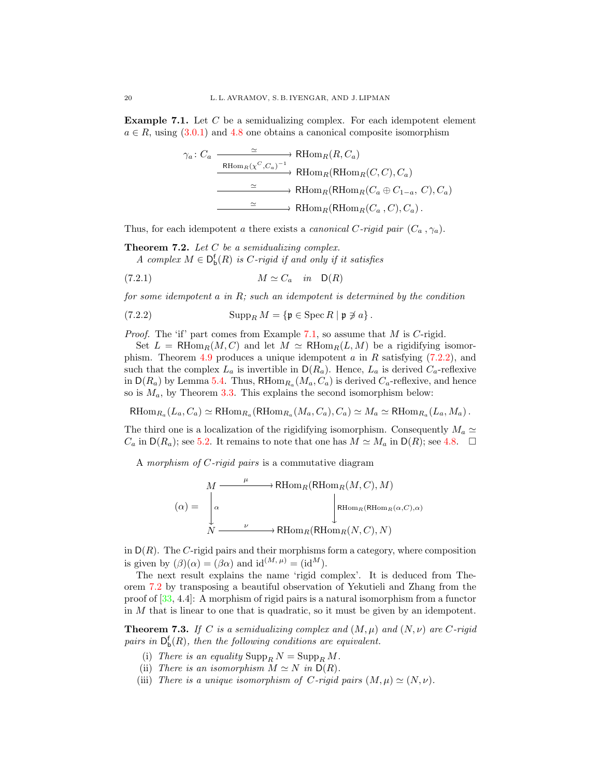Example 7.1. Let C be a semidualizing complex. For each idempotent element  $a \in R$ , using  $(3.0.1)$  and [4.8](#page-11-0) one obtains a canonical composite isomorphism

$$
\gamma_a: C_a \xrightarrow{\simeq} \text{RHom}_R(R, C_a)
$$
  
\n
$$
\xrightarrow{\text{RHom}_R(\chi^C, C_a)^{-1}} \text{RHom}_R(\text{RHom}_R(C, C), C_a)
$$
  
\n
$$
\xrightarrow{\simeq} \text{RHom}_R(\text{RHom}_R(C_a \oplus C_{1-a}, C), C_a)
$$
  
\n
$$
\xrightarrow{\simeq} \text{RHom}_R(\text{RHom}_R(C_a, C), C_a).
$$

Thus, for each idempotent a there exists a *canonical C-rigid pair*  $(C_a, \gamma_a)$ .

<span id="page-19-2"></span>**Theorem 7.2.** Let  $C$  be a semidualizing complex.

<span id="page-19-3"></span>A complex  $M \in \mathsf{D}_{\mathsf{b}}^{\mathsf{f}}(R)$  is C-rigid if and only if it satisfies

$$
(7.2.1) \t\t\t M \simeq C_a \t in D(R)
$$

for some idempotent  $a$  in  $R$ ; such an idempotent is determined by the condition

<span id="page-19-1"></span>(7.2.2) 
$$
\operatorname{Supp}_R M = \{ \mathfrak{p} \in \operatorname{Spec} R \mid \mathfrak{p} \not\ni a \}.
$$

*Proof.* The 'if' part comes from Example [7.1,](#page-18-5) so assume that  $M$  is  $C$ -rigid.

Set  $L = RHom_R(M, C)$  and let  $M \simeq RHom_R(L, M)$  be a rigidifying isomor-phism. Theorem [4.9](#page-11-3) produces a unique idempotent  $a$  in  $R$  satisfying [\(7.2.2\)](#page-19-1), and such that the complex  $L_a$  is invertible in  $\mathsf{D}(R_a)$ . Hence,  $L_a$  is derived  $C_a$ -reflexive in  $\mathsf{D}(R_a)$  by Lemma [5.4.](#page-14-0) Thus,  $\mathsf{RHom}_{R_a}(M_a, C_a)$  is derived  $C_a$ -reflexive, and hence so is  $M_a$ , by Theorem [3.3.](#page-7-1) This explains the second isomorphism below:

 $R\text{Hom}_{R_a}(L_a, C_a) \simeq R\text{Hom}_{R_a}(\text{RHom}_{R_a}(M_a, C_a), C_a) \simeq M_a \simeq R\text{Hom}_{R_a}(L_a, M_a)$ .

The third one is a localization of the rigidifying isomorphism. Consequently  $M_a \simeq$  $C_a$  in  $\mathsf{D}(R_a)$ ; see [5.2.](#page-13-0) It remains to note that one has  $M \simeq M_a$  in  $\mathsf{D}(R)$ ; see [4.8.](#page-11-0)  $\Box$ 

A morphism of C-rigid pairs is a commutative diagram

$$
(\alpha) = \n\begin{array}{c}\nM \xrightarrow{\mu} \text{RHom}_R(\text{RHom}_R(M, C), M) \\
\downarrow^{\text{RHom}_R(\text{RHom}_R(\alpha, C), \alpha)} \\
\downarrow^{\text{RHom}_R(\text{RHom}_R(\alpha, C), \alpha)} \\
\downarrow^{\text{RHom}_R(\text{RHom}_R(N, C), N)}\n\end{array}
$$

in  $D(R)$ . The C-rigid pairs and their morphisms form a category, where composition is given by  $(\beta)(\alpha) = (\beta \alpha)$  and  $\mathrm{id}^{(M, \mu)} = (\mathrm{id}^M)$ .

The next result explains the name 'rigid complex'. It is deduced from Theorem [7.2](#page-19-2) by transposing a beautiful observation of Yekutieli and Zhang from the proof of [\[33,](#page-30-3) 4.4]: A morphism of rigid pairs is a natural isomorphism from a functor in M that is linear to one that is quadratic, so it must be given by an idempotent.

<span id="page-19-0"></span>**Theorem 7.3.** If C is a semidualizing complex and  $(M, \mu)$  and  $(N, \nu)$  are C-rigid pairs in  $D_b^f(R)$ , then the following conditions are equivalent.

- (i) There is an equality  $\text{Supp}_R N = \text{Supp}_R M$ .
- (ii) There is an isomorphism  $M \simeq N$  in  $D(R)$ .
- (iii) There is a unique isomorphism of C-rigid pairs  $(M, \mu) \simeq (N, \nu)$ .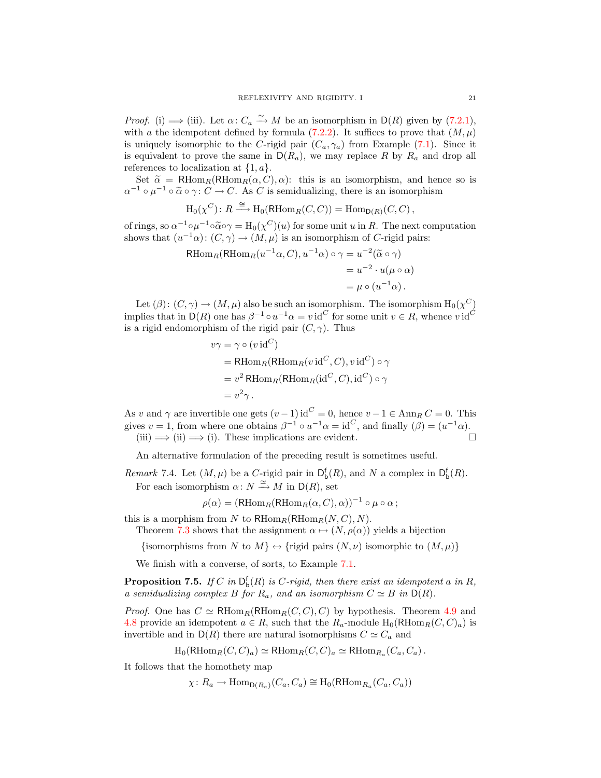*Proof.* (i)  $\implies$  (iii). Let  $\alpha: C_a \xrightarrow{\simeq} M$  be an isomorphism in  $D(R)$  given by [\(7.2.1\)](#page-19-3), with a the idempotent defined by formula [\(7.2.2\)](#page-19-1). It suffices to prove that  $(M, \mu)$ is uniquely isomorphic to the C-rigid pair  $(C_a, \gamma_a)$  from Example [\(7.1\)](#page-18-5). Since it is equivalent to prove the same in  $D(R_a)$ , we may replace R by  $R_a$  and drop all references to localization at  $\{1, a\}.$ 

Set  $\tilde{\alpha} = \text{RHom}_R(\text{RHom}_R(\alpha, C), \alpha)$ : this is an isomorphism, and hence so is  $\alpha^{-1} \circ \mu^{-1} \circ \tilde{\alpha} \circ \gamma \colon C \to C$ . As C is semidualizing, there is an isomorphism

$$
\mathrm{H}_0(\chi^C)\colon R \xrightarrow{\cong} \mathrm{H}_0(\mathrm{RHom}_R(C,C)) = \mathrm{Hom}_{\mathsf{D}(R)}(C,C)\,,
$$

of rings, so  $\alpha^{-1} \circ \mu^{-1} \circ \widetilde{\alpha} \circ \gamma = H_0(\chi^C)(u)$  for some unit u in R. The next computation<br>shows that  $(\mu^{-1} \circ) : (C \circ) \to (M, u)$  is an isomorphism of C risid pairs: shows that  $(u^{-1}\alpha)$ :  $(C, \gamma) \rightarrow (M, \mu)$  is an isomorphism of C-rigid pairs:

$$
\begin{aligned} \text{RHom}_R(\text{RHom}_R(u^{-1}\alpha, C), u^{-1}\alpha) \circ \gamma &= u^{-2}(\widetilde{\alpha} \circ \gamma) \\ &= u^{-2} \cdot u(\mu \circ \alpha) \\ &= \mu \circ (u^{-1}\alpha) \,. \end{aligned}
$$

Let  $(\beta)$ :  $(C, \gamma) \to (M, \mu)$  also be such an isomorphism. The isomorphism  $H_0(\chi^C)$ implies that in D(R) one has  $\beta^{-1} \circ u^{-1} \alpha = v \mathrm{id}^C$  for some unit  $v \in R$ , whence  $v \mathrm{id}^C$ is a rigid endomorphism of the rigid pair  $(C, \gamma)$ . Thus

$$
v\gamma = \gamma \circ (v \operatorname{id}^{C})
$$
  
= RHom<sub>R</sub>(RHom<sub>R</sub>(v id<sup>C</sup>, C), v id<sup>C</sup>)  $\circ \gamma$   
=  $v^2$  RHom<sub>R</sub>(RHom<sub>R</sub>(id<sup>C</sup>, C), id<sup>C</sup>)  $\circ \gamma$   
=  $v^2 \gamma$ .

As v and  $\gamma$  are invertible one gets  $(v-1)$  id<sup>C</sup> = 0, hence  $v-1 \in \text{Ann}_{R} C = 0$ . This gives  $v = 1$ , from where one obtains  $\beta^{-1} \circ u^{-1} \alpha = id^C$ , and finally  $(\beta) = (u^{-1} \alpha)$ .  $(iii) \implies (ii) \implies (i).$  These implications are evident.

An alternative formulation of the preceding result is sometimes useful.

Remark 7.4. Let  $(M, \mu)$  be a C-rigid pair in  $D_b^f(R)$ , and N a complex in  $D_b^f(R)$ . For each isomorphism  $\alpha \colon N \xrightarrow{\simeq} M$  in  $\mathsf{D}(R)$ , set

 $\rho(\alpha) = (\textsf{RHom}_R(\textsf{RHom}_R(\alpha, C), \alpha))^{-1} \circ \mu \circ \alpha;$ 

this is a morphism from N to  $R\text{Hom}_R(R\text{Hom}_R(N, C), N)$ .

Theorem [7.3](#page-19-0) shows that the assignment  $\alpha \mapsto (N, \rho(\alpha))$  yields a bijection

{isomorphisms from N to  $M$ }  $\leftrightarrow$  {rigid pairs  $(N, \nu)$  isomorphic to  $(M, \mu)$ }

We finish with a converse, of sorts, to Example [7.1.](#page-18-5)

**Proposition 7.5.** If C in  $D_b^f(R)$  is C-rigid, then there exist an idempotent a in R, a semidualizing complex B for  $R_a$ , and an isomorphism  $C \simeq B$  in  $D(R)$ .

*Proof.* One has  $C \simeq \text{RHom}_{R}(\text{RHom}_{R}(C, C), C)$  by hypothesis. Theorem [4.9](#page-11-3) and [4.8](#page-11-0) provide an idempotent  $a \in R$ , such that the  $R_a$ -module  $H_0(RHom_R(C, C)_a)$  is invertible and in  $D(R)$  there are natural isomorphisms  $C \simeq C_a$  and

$$
H_0(RHom_R(C, C)_a) \simeq RHom_R(C, C)_a \simeq RHom_{R_a}(C_a, C_a).
$$

It follows that the homothety map

$$
\chi: R_a \to \text{Hom}_{\mathsf{D}(R_a)}(C_a, C_a) \cong H_0(\text{RHom}_{R_a}(C_a, C_a))
$$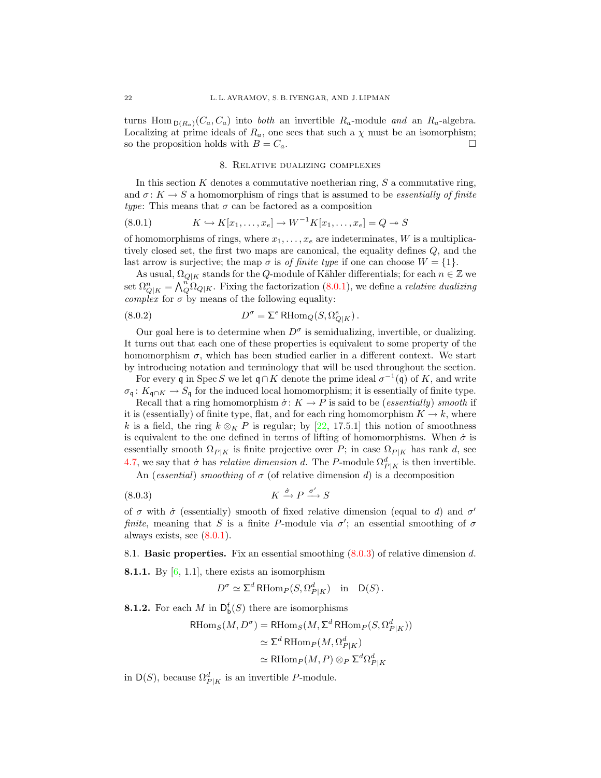turns Hom  $_{D(R_a)}(C_a, C_a)$  into both an invertible  $R_a$ -module and an  $R_a$ -algebra. Localizing at prime ideals of  $R_a$ , one sees that such a  $\chi$  must be an isomorphism; so the proposition holds with  $B = C_a$ .

#### <span id="page-21-2"></span>8. Relative dualizing complexes

<span id="page-21-0"></span>In this section  $K$  denotes a commutative noetherian ring,  $S$  a commutative ring, and  $\sigma: K \to S$  a homomorphism of rings that is assumed to be *essentially of finite* type: This means that  $\sigma$  can be factored as a composition

(8.0.1) 
$$
K \hookrightarrow K[x_1, ..., x_e] \to W^{-1}K[x_1, ..., x_e] = Q \to S
$$

of homomorphisms of rings, where  $x_1, \ldots, x_e$  are indeterminates, W is a multiplicatively closed set, the first two maps are canonical, the equality defines Q, and the last arrow is surjective; the map  $\sigma$  is *of finite type* if one can choose  $W = \{1\}$ .

As usual,  $\Omega_{Q|K}$  stands for the Q-module of Kähler differentials; for each  $n \in \mathbb{Z}$  we set  $\Omega_{Q|K}^n = \bigwedge_{i=1}^n \Omega_{Q|K}$ . Fixing the factorization [\(8.0.1\)](#page-21-2), we define a *relative dualizing complex* for  $\sigma$  by means of the following equality:

(8.0.2) 
$$
D^{\sigma} = \Sigma^{e} \operatorname{RHom}_{Q}(S, \Omega_{Q|K}^{e}).
$$

Our goal here is to determine when  $D^{\sigma}$  is semidualizing, invertible, or dualizing. It turns out that each one of these properties is equivalent to some property of the homomorphism  $\sigma$ , which has been studied earlier in a different context. We start by introducing notation and terminology that will be used throughout the section.

For every q in Spec S we let  $\mathfrak{q} \cap K$  denote the prime ideal  $\sigma^{-1}(\mathfrak{q})$  of K, and write  $\sigma_{\mathfrak{q}}: K_{\mathfrak{q}\cap K} \to S_{\mathfrak{q}}$  for the induced local homomorphism; it is essentially of finite type.

Recall that a ring homomorphism  $\dot{\sigma}: K \to P$  is said to be (*essentially*) smooth if it is (essentially) of finite type, flat, and for each ring homomorphism  $K \to k$ , where k is a field, the ring  $k \otimes_K P$  is regular; by [\[22,](#page-30-15) 17.5.1] this notion of smoothness is equivalent to the one defined in terms of lifting of homomorphisms. When  $\dot{\sigma}$  is essentially smooth  $\Omega_{P|K}$  is finite projective over P; in case  $\Omega_{P|K}$  has rank d, see [4.7,](#page-11-2) we say that  $\dot{\sigma}$  has *relative dimension d*. The P-module  $\Omega_{P|K}^d$  is then invertible.

An (essential) smoothing of  $\sigma$  (of relative dimension d) is a decomposition

$$
(8.0.3) \t\t K \xrightarrow{\dot{\sigma}} P \xrightarrow{\sigma'} S
$$

of  $\sigma$  with  $\dot{\sigma}$  (essentially) smooth of fixed relative dimension (equal to d) and  $\sigma'$ finite, meaning that S is a finite P-module via  $\sigma'$ ; an essential smoothing of  $\sigma$ always exists, see  $(8.0.1)$ .

<span id="page-21-4"></span><span id="page-21-1"></span>8.1. Basic properties. Fix an essential smoothing [\(8.0.3\)](#page-21-3) of relative dimension d.

**8.1.1.** By  $[6, 1.1]$  $[6, 1.1]$ , there exists an isomorphism

<span id="page-21-3"></span>
$$
D^{\sigma} \simeq \Sigma^{d} \operatorname{RHom}_{P}(S, \Omega^{d}_{P|K}) \quad \text{in} \quad \mathsf{D}(S).
$$

<span id="page-21-5"></span>**8.1.2.** For each M in  $D_b^f(S)$  there are isomorphisms

$$
\begin{aligned} \text{RHom}_S(M, D^{\sigma}) &= \text{RHom}_S(M, \Sigma^d \text{RHom}_P(S, \Omega_{P|K}^d)) \\ &\simeq \Sigma^d \text{RHom}_P(M, \Omega_{P|K}^d) \\ &\simeq \text{RHom}_P(M, P) \otimes_P \Sigma^d \Omega_{P|K}^d \end{aligned}
$$

<span id="page-21-6"></span>in  $\mathsf{D}(S)$ , because  $\Omega^d_{P|K}$  is an invertible P-module.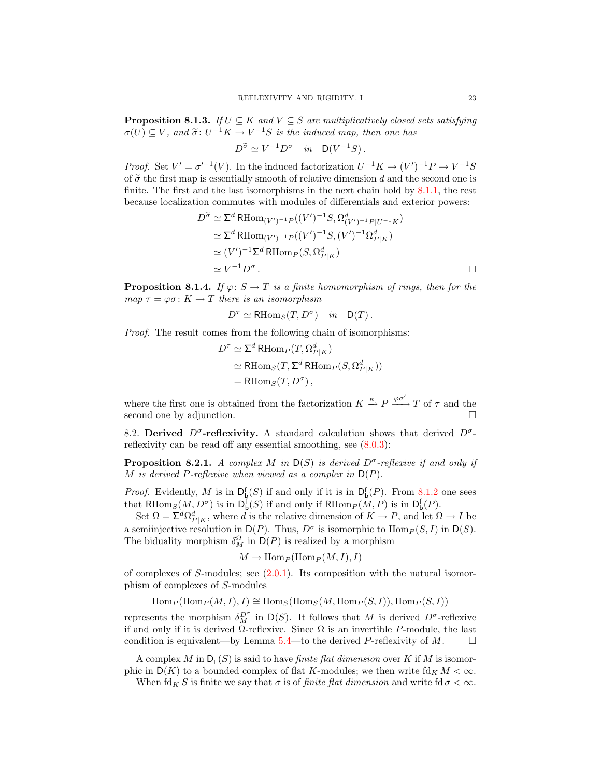**Proposition 8.1.3.** If  $U \subseteq K$  and  $V \subseteq S$  are multiplicatively closed sets satisfying  $\sigma(U) \subseteq V$ , and  $\widetilde{\sigma} \colon U^{-1}K \to V^{-1}S$  is the induced map, then one has

$$
D^{\widetilde{\sigma}} \simeq V^{-1} D^{\sigma} \quad in \quad \mathsf{D}(V^{-1}S) \, .
$$

*Proof.* Set  $V' = \sigma'^{-1}(V)$ . In the induced factorization  $U^{-1}K \to (V')^{-1}P \to V^{-1}S$ of  $\tilde{\sigma}$  the first map is essentially smooth of relative dimension d and the second one is finite. The first and the last isomorphisms in the next chain hold by [8.1.1,](#page-21-4) the rest because localization commutes with modules of differentials and exterior powers:

$$
D^{\widetilde{\sigma}} \simeq \Sigma^{d} \operatorname{RHom}_{(V')^{-1}P}((V')^{-1}S, \Omega^d_{(V')^{-1}P|U^{-1}K})
$$
  
\n
$$
\simeq \Sigma^{d} \operatorname{RHom}_{(V')^{-1}P}((V')^{-1}S, (V')^{-1}\Omega^d_{P|K})
$$
  
\n
$$
\simeq (V')^{-1}\Sigma^{d} \operatorname{RHom}_{P}(S, \Omega^d_{P|K})
$$
  
\n
$$
\simeq V^{-1}D^{\sigma}.
$$

<span id="page-22-3"></span>**Proposition 8.1.4.** If  $\varphi: S \to T$  is a finite homomorphism of rings, then for the map  $\tau = \varphi \sigma : K \to T$  there is an isomorphism

$$
D^{\tau} \simeq \text{RHom}_S(T, D^{\sigma}) \quad in \quad \mathsf{D}(T) \, .
$$

Proof. The result comes from the following chain of isomorphisms:

$$
D^{\tau} \simeq \Sigma^{d} \operatorname{RHom}_{P}(T, \Omega_{P|K}^{d})
$$
  
\simeq \operatorname{RHom}\_{S}(T, \Sigma^{d} \operatorname{RHom}\_{P}(S, \Omega\_{P|K}^{d}))  
\t= \operatorname{RHom}\_{S}(T, D^{\sigma}),

where the first one is obtained from the factorization  $K \xrightarrow{\kappa} P \xrightarrow{\varphi \sigma'} T$  of  $\tau$  and the second one by adjunction.

<span id="page-22-0"></span>8.2. Derived  $D^{\sigma}$ -reflexivity. A standard calculation shows that derived  $D^{\sigma}$ reflexivity can be read off any essential smoothing, see [\(8.0.3\)](#page-21-3):

<span id="page-22-2"></span>**Proposition 8.2.1.** A complex M in  $D(S)$  is derived  $D^{\sigma}$ -reflexive if and only if M is derived P-reflexive when viewed as a complex in  $D(P)$ .

*Proof.* Evidently, M is in  $D_{b}^{f}(S)$  if and only if it is in  $D_{b}^{f}(P)$ . From [8.1.2](#page-21-5) one sees that RHom<sub>S</sub> $(M, D^{\sigma})$  is in  $D_{b}^{f}(S)$  if and only if RHom<sub>P</sub> $(M, P)$  is in  $D_{b}^{f}(P)$ .

Set  $\Omega = \Sigma^d \Omega^d_{P|K}$ , where d is the relative dimension of  $K \to P$ , and let  $\Omega \to I$  be a semiinjective resolution in  $D(P)$ . Thus,  $D^{\sigma}$  is isomorphic to  $\text{Hom}_P(S, I)$  in  $D(S)$ . The biduality morphism  $\delta_M^{\Omega}$  in  $D(P)$  is realized by a morphism

$$
M \to \text{Hom}_P(\text{Hom}_P(M,I), I)
$$

of complexes of S-modules; see  $(2.0.1)$ . Its composition with the natural isomorphism of complexes of S-modules

$$
\operatorname{Hom}_P(\operatorname{Hom}_P(M,I),I)\cong \operatorname{Hom}_S(\operatorname{Hom}_S(M,\operatorname{Hom}_P(S,I)),\operatorname{Hom}_P(S,I))
$$

represents the morphism  $\delta_M^{D^{\sigma}}$  in  $\mathsf{D}(S)$ . It follows that M is derived  $D^{\sigma}$ -reflexive if and only if it is derived  $\Omega$ -reflexive. Since  $\Omega$  is an invertible P-module, the last condition is equivalent—by Lemma [5.4—](#page-14-0)to the derived P-reflexivity of M.  $\Box$ 

A complex M in  $D_{+}(S)$  is said to have *finite flat dimension* over K if M is isomorphic in  $D(K)$  to a bounded complex of flat K-modules; we then write  $\mathrm{fd}_{K} M < \infty$ .

<span id="page-22-1"></span>When  $\mathrm{fd}_K S$  is finite we say that  $\sigma$  is of *finite flat dimension* and write  $\mathrm{fd} \sigma < \infty$ .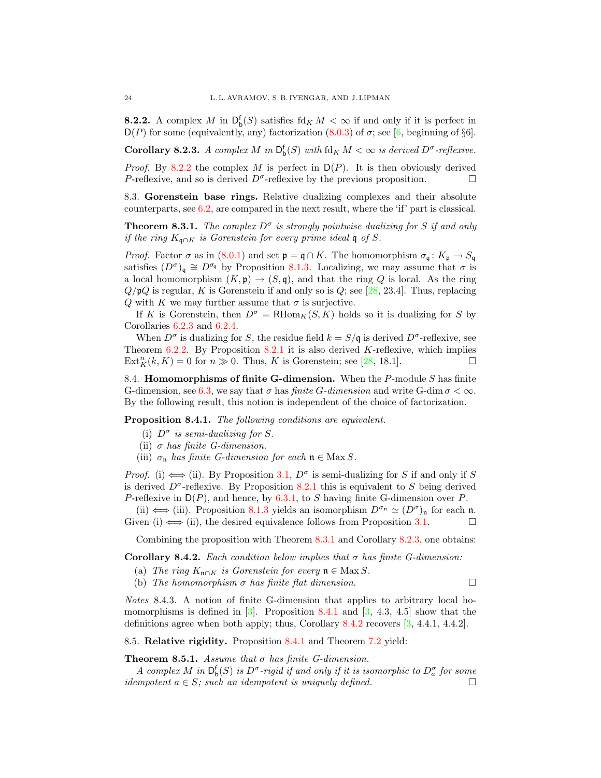**8.2.2.** A complex M in  $D_b^f(S)$  satisfies  $\text{fd}_K M < \infty$  if and only if it is perfect in  $D(P)$  for some (equivalently, any) factorization [\(8.0.3\)](#page-21-3) of  $\sigma$ ; see [\[6,](#page-29-2) beginning of §6].

<span id="page-23-4"></span>**Corollary 8.2.3.** A complex M in  $D_b^f(S)$  with  $fd_K M < \infty$  is derived  $D^{\sigma}$ -reflexive.

*Proof.* By [8.2.2](#page-22-1) the complex M is perfect in  $D(P)$ . It is then obviously derived P-reflexive, and so is derived  $D^{\sigma}$ -reflexive by the previous proposition.

<span id="page-23-0"></span>8.3. Gorenstein base rings. Relative dualizing complexes and their absolute counterparts, see [6.2,](#page-16-1) are compared in the next result, where the 'if' part is classical.

<span id="page-23-3"></span>**Theorem 8.3.1.** The complex  $D^{\sigma}$  is strongly pointwise dualizing for S if and only if the ring  $K_{\mathfrak{q}\cap K}$  is Gorenstein for every prime ideal  $\mathfrak{q}$  of S.

*Proof.* Factor  $\sigma$  as in [\(8.0.1\)](#page-21-2) and set  $\mathfrak{p} = \mathfrak{q} \cap K$ . The homomorphism  $\sigma_{\mathfrak{q}} : K_{\mathfrak{p}} \to S_{\mathfrak{q}}$ satisfies  $(D^{\sigma})_{q} \cong D^{\sigma_{q}}$  by Proposition [8.1.3.](#page-21-6) Localizing, we may assume that  $\sigma$  is a local homomorphism  $(K, \mathfrak{p}) \to (S, \mathfrak{q})$ , and that the ring Q is local. As the ring  $Q/\mathfrak{p}Q$  is regular, K is Gorenstein if and only so is  $Q$ ; see [\[28,](#page-30-16) 23.4]. Thus, replacing Q with K we may further assume that  $\sigma$  is surjective.

If K is Gorenstein, then  $D^{\sigma} = \text{RHom}_K(S, K)$  holds so it is dualizing for S by Corollaries [6.2.3](#page-17-1) and [6.2.4.](#page-17-2)

When  $D^{\sigma}$  is dualizing for S, the residue field  $k = S/\mathfrak{q}$  is derived  $D^{\sigma}$ -reflexive, see Theorem [6.2.2.](#page-17-0) By Proposition [8.2.1](#page-22-2) it is also derived  $K$ -reflexive, which implies  $\text{Ext}_{K}^{n}(k, K) = 0$  for  $n \gg 0$ . Thus, K is Gorenstein; see [\[28,](#page-30-16) 18.1].

<span id="page-23-1"></span>8.4. **Homomorphisms of finite G-dimension.** When the  $P$ -module  $S$  has finite G-dimension, see [6.3,](#page-18-0) we say that  $\sigma$  has *finite G-dimension* and write G-dim  $\sigma < \infty$ . By the following result, this notion is independent of the choice of factorization.

<span id="page-23-5"></span>Proposition 8.4.1. The following conditions are equivalent.

- (i)  $D^{\sigma}$  is semi-dualizing for S.
- (ii)  $\sigma$  has finite G-dimension.
- (iii)  $\sigma_n$  has finite G-dimension for each  $n \in \text{Max } S$ .

*Proof.* (i)  $\Longleftrightarrow$  (ii). By Proposition [3.1,](#page-7-3)  $D^{\sigma}$  is semi-dualizing for S if and only if S is derived  $D^{\sigma}$ -reflexive. By Proposition [8.2.1](#page-22-2) this is equivalent to S being derived P-reflexive in  $D(P)$ , and hence, by [6.3.1,](#page-18-3) to S having finite G-dimension over P.

(ii)  $\iff$  (iii). Proposition [8.1.3](#page-21-6) yields an isomorphism  $D^{\sigma_n} \simeq (D^{\sigma})_n$  for each n. Given (i)  $\Longleftrightarrow$  (ii), the desired equivalence follows from Proposition [3.1.](#page-7-3)

Combining the proposition with Theorem [8.3.1](#page-23-3) and Corollary [8.2.3,](#page-23-4) one obtains:

<span id="page-23-6"></span>Corollary 8.4.2. Each condition below implies that  $\sigma$  has finite G-dimension:

- (a) The ring  $K_{\mathfrak{n}\cap K}$  is Gorenstein for every  $\mathfrak{n} \in \mathbb{M}$  ax S.
- (b) The homomorphism  $\sigma$  has finite flat dimension.

Notes 8.4.3. A notion of finite G-dimension that applies to arbitrary local homomorphisms is defined in  $[3]$ . Proposition [8.4.1](#page-23-5) and  $[3, 4.3, 4.5]$  $[3, 4.3, 4.5]$  show that the definitions agree when both apply; thus, Corollary [8.4.2](#page-23-6) recovers [\[3,](#page-29-4) 4.4.1, 4.4.2].

<span id="page-23-2"></span>8.5. Relative rigidity. Proposition [8.4.1](#page-23-5) and Theorem [7.2](#page-19-2) yield:

# <span id="page-23-7"></span>Theorem 8.5.1. Assume that  $\sigma$  has finite G-dimension.

A complex M in  $\mathsf{D}^\mathsf{f}_\mathsf{b}(S)$  is  $D^\sigma$ -rigid if and only if it is isomorphic to  $D_a^\sigma$  for some idempotent  $a \in S$ ; such an idempotent is uniquely defined.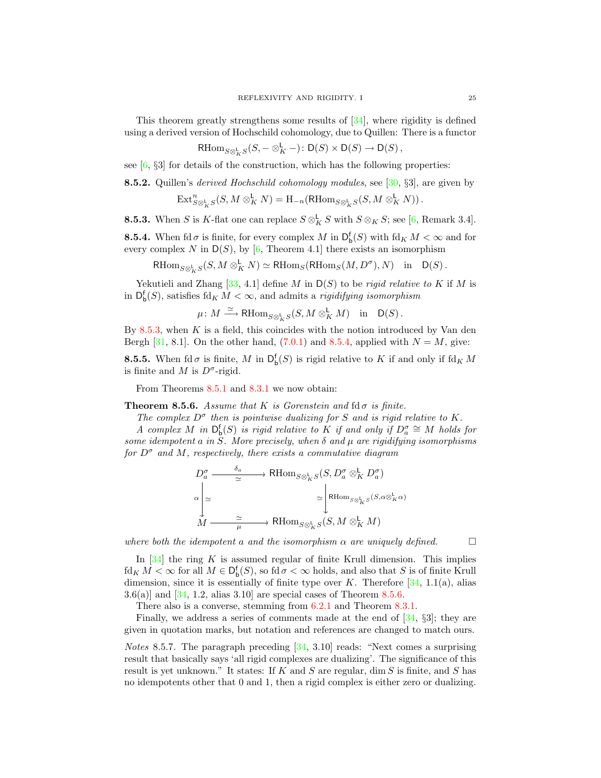This theorem greatly strengthens some results of [\[34\]](#page-30-4), where rigidity is defined using a derived version of Hochschild cohomology, due to Quillen: There is a functor

$$
\mathrm{RHom}_{S\otimes^{\mathbf{L}}_KS}(S, -\otimes^{\mathbf{L}}_K -): \mathsf{D}(S)\times \mathsf{D}(S)\to \mathsf{D}(S)\,,
$$

see  $[6, 83]$  $[6, 83]$  for details of the construction, which has the following properties:

<span id="page-24-3"></span>**8.5.2.** Quillen's *derived Hochschild cohomology modules*, see [ $30, \S3$ ], are given by

$$
\mathrm{Ext}^n_{S\otimes^{\mathbf{L}}_KS}(S,M\otimes^{\mathbf{L}}_K N)=\mathrm{H}_{-n}(\mathrm{RHom}_{S\otimes^{\mathbf{L}}_KS}(S,M\otimes^{\mathbf{L}}_K N))\,.
$$

<span id="page-24-1"></span>**8.5.3.** When S is K-flat one can replace  $S \otimes_K^{\mathsf{L}} S$  with  $S \otimes_K S$ ; see [\[6,](#page-29-2) Remark 3.4].

<span id="page-24-2"></span>**8.5.4.** When fd  $\sigma$  is finite, for every complex M in  $D_b^f(S)$  with fd<sub>K</sub>  $M < \infty$  and for every complex N in  $D(S)$ , by [\[6,](#page-29-2) Theorem 4.1] there exists an isomorphism

$$
\mathrm{RHom}_{S\otimes^{\mathbf{L}}_KS}(S, M\otimes^{\mathbf{L}}_K N)\simeq \mathrm{RHom}_S(\mathrm{RHom}_S(M, D^\sigma), N)\quad\text{in}\quad \mathsf{D}(S)\,.
$$

Yekutieli and Zhang [\[33,](#page-30-3) 4.1] define M in  $D(S)$  to be *rigid relative to* K if M is in  $D_{\mathbf{b}}^{\mathbf{f}}(S)$ , satisfies fd<sub>K</sub>  $M < \infty$ , and admits a *rigidifying isomorphism* 

$$
\mu\colon M\xrightarrow{\simeq} \text{RHom}_{S\otimes^{\mathbf{L}}_K S}(S,M\otimes^{\mathbf{L}}_K M)\quad\text{in}\quad \mathsf{D}(S)\,.
$$

By [8.5.3,](#page-24-1) when  $K$  is a field, this coincides with the notion introduced by Van den Bergh [\[31,](#page-30-2) 8.1]. On the other hand,  $(7.0.1)$  and [8.5.4,](#page-24-2) applied with  $N = M$ , give:

**8.5.5.** When  $\text{fd } \sigma$  is finite, M in  $\mathsf{D}_{\mathsf{b}}^{\mathsf{f}}(S)$  is rigid relative to K if and only if  $\text{fd}_K M$ is finite and M is  $D^{\sigma}$ -rigid.

From Theorems [8.5.1](#page-23-7) and [8.3.1](#page-23-3) we now obtain:

<span id="page-24-0"></span>**Theorem 8.5.6.** Assume that K is Gorenstein and fd $\sigma$  is finite.

The complex  $D^{\sigma}$  then is pointwise dualizing for S and is rigid relative to K.

A complex M in  $\mathsf{D}^{\mathsf{f}}_{\mathsf{b}}(S)$  is rigid relative to K if and only if  $D_a^{\sigma} \cong M$  holds for some idempotent a in S. More precisely, when  $\delta$  and  $\mu$  are rigidifying isomorphisms for  $D^{\sigma}$  and M, respectively, there exists a commutative diagram

$$
D_a^{\sigma} \xrightarrow{\delta_a} \text{RHom}_{S \otimes_K^{\mathbf{L}} S} (S, D_a^{\sigma} \otimes_K^{\mathbf{L}} D_a^{\sigma})
$$

$$
\sim \begin{vmatrix} \alpha \\ \simeq \\ M \xrightarrow{\simeq} \text{RHom}_{S \otimes_K^{\mathbf{L}} S} (S, M \otimes_K^{\mathbf{L}} D_a^{\sigma}) \end{vmatrix}
$$

$$
M \xrightarrow{\simeq} \text{RHom}_{S \otimes_K^{\mathbf{L}} S} (S, M \otimes_K^{\mathbf{L}} M)
$$

where both the idempotent a and the isomorphism  $\alpha$  are uniquely defined.  $\Box$ 

In  $[34]$  the ring K is assumed regular of finite Krull dimension. This implies  $\text{fd}_K M < \infty$  for all  $M \in \mathsf{D}_{\mathsf{b}}^{\mathsf{f}}(S)$ , so  $\text{fd } \sigma < \infty$  holds, and also that S is of finite Krull dimension, since it is essentially of finite type over K. Therefore  $[34, 1.1(a),$  $[34, 1.1(a),$  alias  $3.6(a)$ ] and [\[34,](#page-30-4) 1.2, alias 3.10] are special cases of Theorem [8.5.6.](#page-24-0)

There also is a converse, stemming from [6.2.1](#page-16-3) and Theorem [8.3.1.](#page-23-3)

Finally, we address a series of comments made at the end of [\[34,](#page-30-4) §3]; they are given in quotation marks, but notation and references are changed to match ours.

*Notes* 8.5.7. The paragraph preceding  $[34, 3.10]$  $[34, 3.10]$  reads: "Next comes a surprising result that basically says 'all rigid complexes are dualizing'. The significance of this result is yet unknown." It states: If  $K$  and  $S$  are regular, dim  $S$  is finite, and  $S$  has no idempotents other that 0 and 1, then a rigid complex is either zero or dualizing.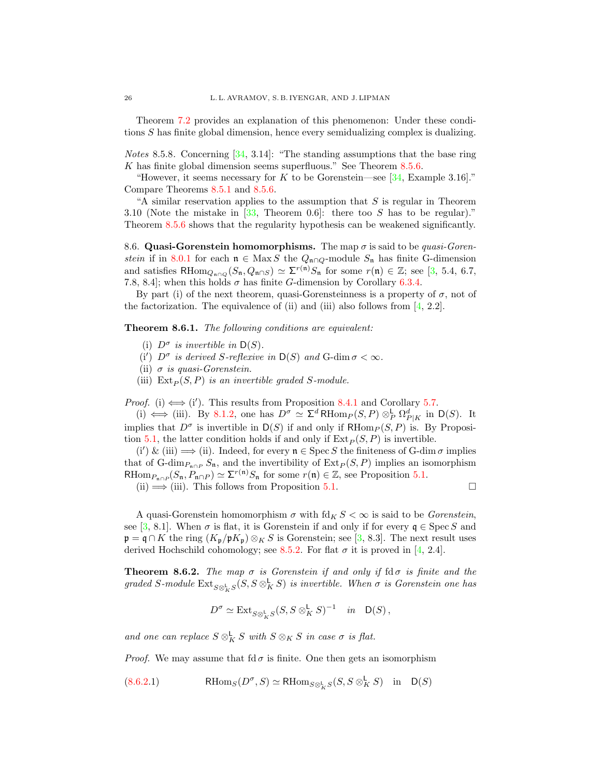Theorem [7.2](#page-19-2) provides an explanation of this phenomenon: Under these conditions S has finite global dimension, hence every semidualizing complex is dualizing.

Notes 8.5.8. Concerning [\[34,](#page-30-4) 3.14]: "The standing assumptions that the base ring K has finite global dimension seems superfluous." See Theorem [8.5.6.](#page-24-0)

"However, it seems necessary for K to be Gorenstein—see  $[34, \text{Example } 3.16]$  $[34, \text{Example } 3.16]$ ." Compare Theorems [8.5.1](#page-23-7) and [8.5.6.](#page-24-0)

"A similar reservation applies to the assumption that  $S$  is regular in Theorem 3.10 (Note the mistake in  $[33,$  Theorem 0.6]: there too S has to be regular)." Theorem [8.5.6](#page-24-0) shows that the regularity hypothesis can be weakened significantly.

<span id="page-25-0"></span>8.6. Quasi-Gorenstein homomorphisms. The map  $\sigma$  is said to be *quasi-Goren*-stein if in [8.0.1](#page-21-2) for each  $\mathfrak{n} \in \text{Max } S$  the  $Q_{\mathfrak{n} \cap Q}$ -module  $S_{\mathfrak{n}}$  has finite G-dimension and satisfies RHom<sub>Qn∩Q</sub>( $S_n, Q_{n \cap S}$ )  $\simeq \Sigma^{r(n)} S_n$  for some  $r(n) \in \mathbb{Z}$ ; see [\[3,](#page-29-4) 5.4, 6.7, 7.8, 8.4]; when this holds  $\sigma$  has finite G-dimension by Corollary [6.3.4.](#page-18-2)

By part (i) of the next theorem, quasi-Gorensteinness is a property of  $\sigma$ , not of the factorization. The equivalence of (ii) and (iii) also follows from  $[4, 2.2]$  $[4, 2.2]$ .

<span id="page-25-2"></span>Theorem 8.6.1. The following conditions are equivalent:

- (i)  $D^{\sigma}$  is invertible in  $D(S)$ .
- (i')  $D^{\sigma}$  is derived S-reflexive in  $D(S)$  and G-dim  $\sigma < \infty$ .
- (ii)  $\sigma$  is quasi-Gorenstein.
- (iii)  $Ext_P(S, P)$  is an invertible graded S-module.

*Proof.* (i)  $\Longleftrightarrow$  (i'). This results from Proposition [8.4.1](#page-23-5) and Corollary [5.7.](#page-15-2)

(i)  $\iff$  (iii). By [8.1.2,](#page-21-5) one has  $D^{\sigma} \simeq \Sigma^d \text{RHom}_P(S, P) \otimes_P^{\mathsf{L}} \Omega_{P|K}^d$  in  $\mathsf{D}(S)$ . It implies that  $D^{\sigma}$  is invertible in  $D(S)$  if and only if  $RHom_{P}(S, P)$  is. By Proposi-tion [5.1,](#page-12-3) the latter condition holds if and only if  $\text{Ext}_P (S, P)$  is invertible.

(i') & (iii)  $\implies$  (ii). Indeed, for every  $n \in \text{Spec } S$  the finiteness of G-dim  $\sigma$  implies that of G-dim<sub>Pn∩P</sub>  $S_n$ , and the invertibility of  $\text{Ext}_P (S, P)$  implies an isomorphism RHom<sub> $P_{\mathfrak{n}\cap P}(S_{\mathfrak{n}}, P_{\mathfrak{n}\cap P}) \simeq \Sigma^{r(\mathfrak{n})}S_{\mathfrak{n}}$  for some  $r(\mathfrak{n}) \in \mathbb{Z}$ , see Proposition [5.1.](#page-12-3)</sub>

 $(ii) \Longrightarrow (iii)$ . This follows from Proposition [5.1.](#page-12-3)

A quasi-Gorenstein homomorphism  $\sigma$  with  $\text{fd}_K S < \infty$  is said to be *Gorenstein*, see [\[3,](#page-29-4) 8.1]. When  $\sigma$  is flat, it is Gorenstein if and only if for every  $\mathfrak{q} \in \text{Spec } S$  and  $\mathfrak{p} = \mathfrak{q} \cap K$  the ring  $(K_{\mathfrak{p}}/\mathfrak{p} K_{\mathfrak{p}}) \otimes_K S$  is Gorenstein; see [\[3,](#page-29-4) 8.3]. The next result uses derived Hochschild cohomology; see [8.5.2.](#page-24-3) For flat  $\sigma$  it is proved in [\[4,](#page-29-13) 2.4].

<span id="page-25-1"></span>**Theorem 8.6.2.** The map  $\sigma$  is Gorenstein if and only if  $d\sigma$  is finite and the graded S-module  $\mathrm{Ext}_{S\otimes^{\mathsf{L}}_KS}(S,S\otimes^{\mathsf{L}}_KS)$  is invertible. When  $\sigma$  is Gorenstein one has

$$
D^{\sigma} \simeq \mathrm{Ext}_{S \otimes_{K}^{\mathsf{L}} S} (S, S \otimes_{K}^{\mathsf{L}} S)^{-1} \quad in \quad \mathsf{D}(S),
$$

and one can replace  $S \otimes_K^{\mathsf{L}} S$  with  $S \otimes_K S$  in case  $\sigma$  is flat.

*Proof.* We may assume that fd  $\sigma$  is finite. One then gets an isomorphism

<span id="page-25-3"></span>[\(8.6.2.](#page-25-1)1) RHom<sub>S</sub>( $D^{\sigma}, S$ )  $\simeq$  RHom<sub>S $\otimes_K^{\mathsf{L}}$ </sub> $S(S, S \otimes_K^{\mathsf{L}} S)$  in D(S)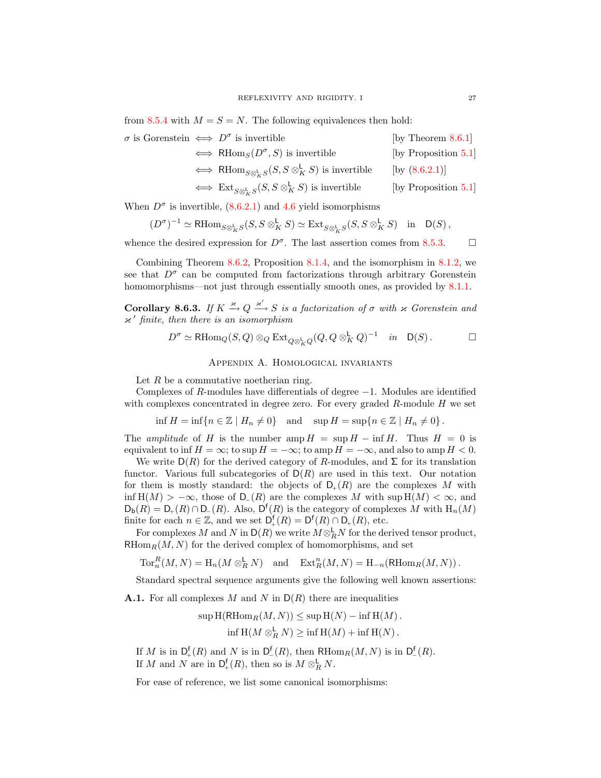from [8.5.4](#page-24-2) with  $M = S = N$ . The following equivalences then hold:

| $\sigma$ is Gorenstein $\iff D^{\sigma}$ is invertible |                                                                                                                | [by Theorem $8.6.1$ ] |
|--------------------------------------------------------|----------------------------------------------------------------------------------------------------------------|-----------------------|
|                                                        | $\iff$ RHom <sub>S</sub> $(D^{\sigma}, S)$ is invertible                                                       | [by Proposition 5.1]  |
|                                                        | $\iff$ RHom <sub>S<math>\otimes_{k}^{\mathsf{L}} S(S, S \otimes_{K}^{\mathsf{L}} S)</math> is invertible</sub> | [by $(8.6.2.1)$ ]     |
|                                                        | $\iff$ Ext <sub><math>S\otimes_{k}^{L}S(S, S\otimes_{K}^{L}S)</math> is invertible</sub>                       | [by Proposition 5.1]  |

When  $D^{\sigma}$  is invertible, [\(8.6.2.1\)](#page-25-3) and [4.6](#page-11-1) yield isomorphisms

$$
(D^{\sigma})^{-1}\simeq \mathrm{R}\mathrm{Hom}_{S\otimes^{\mathbf{L}}_KS}(S, S\otimes^{\mathbf{L}}_KS)\simeq \mathrm{Ext}_{S\otimes^{\mathbf{L}}_KS}(S, S\otimes^{\mathbf{L}}_KS)\quad \text{in}\quad \mathrm{D}(S)\,,
$$

whence the desired expression for  $D^{\sigma}$ . The last assertion comes from [8.5.3.](#page-24-1)  $\square$ 

Combining Theorem [8.6.2,](#page-25-1) Proposition [8.1.4,](#page-22-3) and the isomorphism in [8.1.2,](#page-21-5) we see that  $D^{\sigma}$  can be computed from factorizations through arbitrary Gorenstein homomorphisms—not just through essentially smooth ones, as provided by [8.1.1.](#page-21-4)

Corollary 8.6.3. If  $K \stackrel{\varkappa}{\rightarrow} Q \stackrel{\varkappa'}{\rightarrow} S$  is a factorization of  $\sigma$  with  $\varkappa$  Gorenstein and  $\nu'$  finite, then there is an isomorphism

$$
D^{\sigma} \simeq \text{RHom}_{Q}(S, Q) \otimes_{Q} \text{Ext}_{Q \otimes_{K}^{\mathbf{L}} Q} (Q, Q \otimes_{K}^{\mathbf{L}} Q)^{-1} \quad in \quad \mathsf{D}(S).
$$

Appendix A. Homological invariants

<span id="page-26-0"></span>Let  $R$  be a commutative noetherian ring.

Complexes of R-modules have differentials of degree  $-1$ . Modules are identified with complexes concentrated in degree zero. For every graded  $R$ -module  $H$  we set

$$
\inf H = \inf \{ n \in \mathbb{Z} \mid H_n \neq 0 \} \quad \text{and} \quad \sup H = \sup \{ n \in \mathbb{Z} \mid H_n \neq 0 \} \, .
$$

The amplitude of H is the number amp  $H = \sup H - \inf H$ . Thus  $H = 0$  is equivalent to inf  $H = \infty$ ; to sup  $H = -\infty$ ; to amp  $H = -\infty$ , and also to amp  $H < 0$ .

We write  $D(R)$  for the derived category of R-modules, and  $\Sigma$  for its translation functor. Various full subcategories of  $D(R)$  are used in this text. Our notation for them is mostly standard: the objects of  $D_{+}(R)$  are the complexes M with inf  $H(M) > -\infty$ , those of D<sub>−</sub>(R) are the complexes M with sup  $H(M) < \infty$ , and  $D_{\mathbf{b}}(R) = D_{+}(R) \cap D_{-}(R)$ . Also,  $D^{f}(R)$  is the category of complexes M with  $H_n(M)$ finite for each  $n \in \mathbb{Z}$ , and we set  $D_{+}^{f}(R) = D^{f}(R) \cap D_{+}(R)$ , etc.

For complexes M and N in  $\mathsf{D}(R)$  we write  $M \otimes_R^{\mathsf{L}} N$  for the derived tensor product,  $RHom_R(M, N)$  for the derived complex of homomorphisms, and set

$$
\operatorname{Tor}^R_n(M,N) = \operatorname{H}_n(M \otimes_R^{\mathsf{L}} N) \quad \text{and} \quad \operatorname{Ext}^n_R(M,N) = \operatorname{H}_{-n}(\operatorname{RHom}_R(M,N)).
$$

Standard spectral sequence arguments give the following well known assertions:

<span id="page-26-1"></span>**A.1.** For all complexes M and N in  $D(R)$  there are inequalities

$$
\sup \mathrm{H}(\mathrm{RHom}_R(M, N)) \leq \sup \mathrm{H}(N) - \inf \mathrm{H}(M).
$$
  
if  $\mathrm{H}(M \otimes_R^{\mathsf{L}} N) \geq \inf \mathrm{H}(M) + \inf \mathrm{H}(N).$ 

If M is in  $D_{+}^{f}(R)$  and N is in  $D_{-}^{f}(R)$ , then  $RHom_{R}(M, N)$  is in  $D_{-}^{f}(R)$ . If M and N are in  $\mathsf{D}_+^{\mathsf{f}}(R)$ , then so is  $M \otimes_R^{\mathsf{L}} N$ .

<span id="page-26-2"></span>For ease of reference, we list some canonical isomorphisms: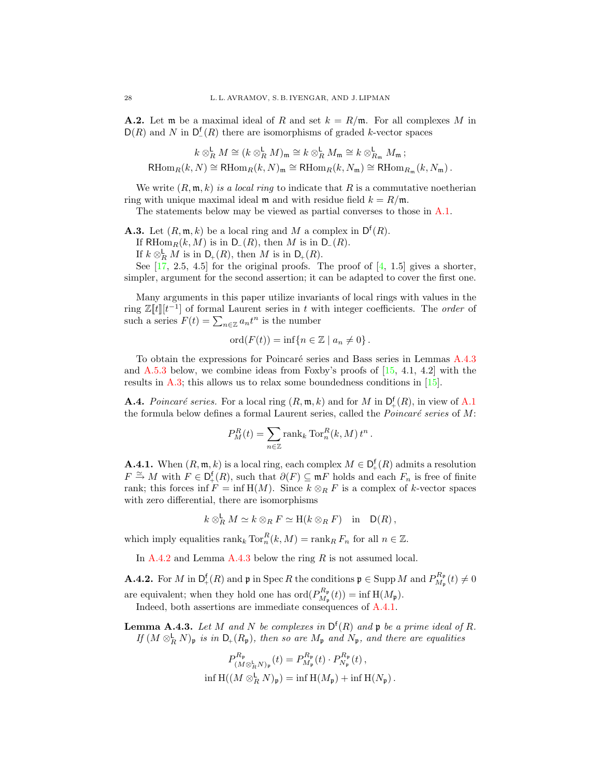**A.2.** Let m be a maximal ideal of R and set  $k = R/\mathfrak{m}$ . For all complexes M in  $D(R)$  and N in  $D_{-}^{f}(R)$  there are isomorphisms of graded k-vector spaces

$$
k \otimes_R^{\mathsf{L}} M \cong (k \otimes_R^{\mathsf{L}} M)_{\mathfrak{m}} \cong k \otimes_R^{\mathsf{L}} M_{\mathfrak{m}} \cong k \otimes_{R_{\mathfrak{m}}}^{\mathsf{L}} M_{\mathfrak{m}} ;
$$
  
RHom<sub>R</sub> $(k, N) \cong$  RHom<sub>R</sub> $(k, N)_{\mathfrak{m}} \cong$  RHom<sub>R</sub> $(k, N_{\mathfrak{m}}) \cong$  RHom<sub>R <sub>$\mathfrak{m}}$</sub>  $(k, N_{\mathfrak{m}})$ .</sub>

We write  $(R, \mathfrak{m}, k)$  is a local ring to indicate that R is a commutative noetherian ring with unique maximal ideal m and with residue field  $k = R/m$ .

The statements below may be viewed as partial converses to those in [A.1.](#page-26-1)

<span id="page-27-3"></span>**A.3.** Let  $(R, \mathfrak{m}, k)$  be a local ring and M a complex in  $D^f(R)$ .

If RHom $_R(k, M)$  is in D<sub>−</sub>(R), then M is in D<sub>−</sub>(R).

If  $k \otimes_R^{\mathsf{L}} M$  is in  $\mathsf{D}_+(R)$ , then M is in  $\mathsf{D}_+(R)$ .

See  $\begin{bmatrix} 17, 2.5, 4.5 \end{bmatrix}$  for the original proofs. The proof of  $\begin{bmatrix} 4, 1.5 \end{bmatrix}$  gives a shorter, simpler, argument for the second assertion; it can be adapted to cover the first one.

Many arguments in this paper utilize invariants of local rings with values in the ring  $\mathbb{Z}[\![t]\!][t^{-1}]$  of formal Laurent series in t with integer coefficients. The *order* of such a series  $F(t) = \sum_{n \in \mathbb{Z}} a_n t^n$  is the number

$$
ord(F(t)) = inf{n \in \mathbb{Z} \mid a_n \neq 0}.
$$

To obtain the expressions for Poincaré series and Bass series in Lemmas [A.4.3](#page-27-0) and  $A.5.3$  below, we combine ideas from Foxby's proofs of  $[15, 4.1, 4.2]$  $[15, 4.1, 4.2]$  with the results in [A.3;](#page-27-3) this allows us to relax some boundedness conditions in [\[15\]](#page-30-18).

**A.4.** Poincaré series. For a local ring  $(R, \mathfrak{m}, k)$  and for M in  $D_{+}^{f}(R)$ , in view of [A.1](#page-26-1) the formula below defines a formal Laurent series, called the *Poincaré series* of  $M$ :

$$
P_M^R(t) = \sum_{n \in \mathbb{Z}} \text{rank}_k \operatorname{Tor}_n^R(k, M) t^n.
$$

<span id="page-27-1"></span>**A.4.1.** When  $(R, \mathfrak{m}, k)$  is a local ring, each complex  $M \in D_{+}^{f}(R)$  admits a resolution  $F \cong M$  with  $F \in D_+^{\mathsf{f}}(R)$ , such that  $\partial(F) \subseteq \mathfrak{m} F$  holds and each  $F_n$  is free of finite rank; this forces inf  $F = \inf H(M)$ . Since  $k \otimes_R F$  is a complex of k-vector spaces with zero differential, there are isomorphisms

$$
k \otimes_R^{\mathsf{L}} M \simeq k \otimes_R F \simeq \mathrm{H}(k \otimes_R F) \quad \text{in} \quad \mathsf{D}(R) \,,
$$

which imply equalities  $\text{rank}_k \text{Tor}_n^R(k,M) = \text{rank}_R F_n$  for all  $n \in \mathbb{Z}$ .

In  $A.4.2$  and Lemma  $A.4.3$  below the ring R is not assumed local.

<span id="page-27-2"></span>**A.4.2.** For M in  $D_+^f(R)$  and p in Spec R the conditions  $\mathfrak{p} \in \text{Supp } M$  and  $P_{M_n}^{R_p}$  $\theta_{M_{\mathfrak{p}}}^{\mathbf{n}_{\mathfrak{p}}}(t) \neq 0$ are equivalent; when they hold one has  $\mathrm{ord}(P_{M}^{R_{\mathfrak{p}}})$  $D_{M_{\mathfrak{p}}}^{\mathbf{n}_{\mathfrak{p}}}(t)) = \inf \mathrm{H}(M_{\mathfrak{p}}).$ Indeed, both assertions are immediate consequences of [A.4.1.](#page-27-1)

<span id="page-27-0"></span>**Lemma A.4.3.** Let M and N be complexes in  $D^{f}(R)$  and p be a prime ideal of R. If  $(M \otimes_R^{\mathsf{L}} N)_{\mathfrak{p}}$  is in  $\mathsf{D}_+(R_{\mathfrak{p}})$ , then so are  $M_{\mathfrak{p}}$  and  $N_{\mathfrak{p}}$ , and there are equalities

$$
P_{(M\otimes_R^{\mathbf{L}}N)_{\mathfrak{p}}}^{R_{\mathfrak{p}}}(t) = P_{M_{\mathfrak{p}}}^{R_{\mathfrak{p}}}(t) \cdot P_{N_{\mathfrak{p}}}^{R_{\mathfrak{p}}}(t) ,
$$
  
inf  $H((M\otimes_R^{\mathbf{L}}N)_{\mathfrak{p}}) = \inf H(M_{\mathfrak{p}}) + \inf H(N_{\mathfrak{p}}) .$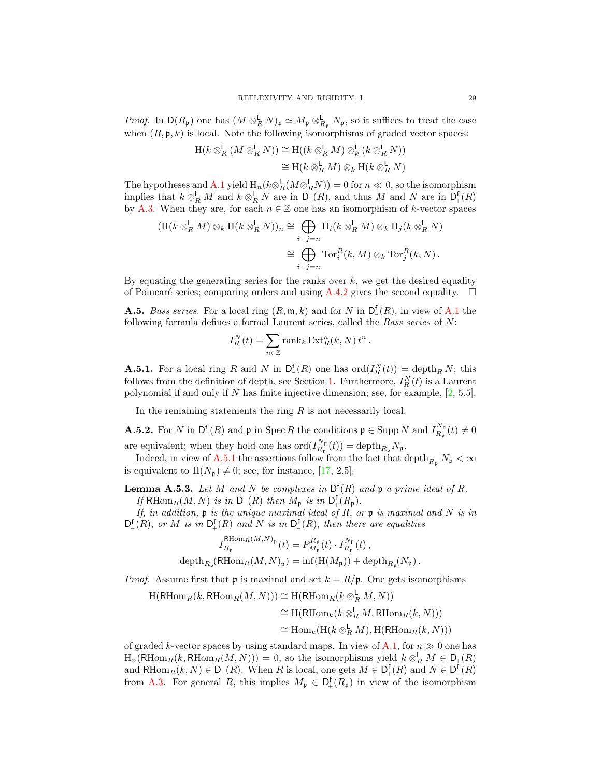*Proof.* In  $D(R_p)$  one has  $(M \otimes_R^{\mathsf{L}} N)_\mathfrak{p} \simeq M_\mathfrak{p} \otimes_{R_p}^{\mathsf{L}} N_\mathfrak{p}$ , so it suffices to treat the case when  $(R, \mathfrak{p}, k)$  is local. Note the following isomorphisms of graded vector spaces:

$$
H(k \otimes_R^{\mathsf{L}} (M \otimes_R^{\mathsf{L}} N)) \cong H((k \otimes_R^{\mathsf{L}} M) \otimes_R^{\mathsf{L}} (k \otimes_R^{\mathsf{L}} N))
$$
  

$$
\cong H(k \otimes_R^{\mathsf{L}} M) \otimes_R H(k \otimes_R^{\mathsf{L}} N)
$$

The hypotheses and [A.1](#page-26-1) yield  $H_n(k \otimes_R^{\mathsf{L}} (M \otimes_R^{\mathsf{L}} N)) = 0$  for  $n \ll 0$ , so the isomorphism implies that  $k \otimes_R^{\mathsf{L}} M$  and  $k \otimes_R^{\mathsf{L}} N$  are in  $\mathsf{D}_+(R)$ , and thus M and N are in  $\mathsf{D}_+^{\mathsf{f}}(R)$ by [A.3.](#page-27-3) When they are, for each  $n \in \mathbb{Z}$  one has an isomorphism of k-vector spaces

$$
\begin{aligned} (\mathrm{H}(k\otimes_R^{\mathsf{L}} M)\otimes_k \mathrm{H}(k\otimes_R^{\mathsf{L}} N))_n &\cong \bigoplus_{i+j=n} \mathrm{H}_i(k\otimes_R^{\mathsf{L}} M)\otimes_k \mathrm{H}_j(k\otimes_R^{\mathsf{L}} N) \\ &\cong \bigoplus_{i+j=n} \mathrm{Tor}_i^R(k,M)\otimes_k \mathrm{Tor}_j^R(k,N) \,. \end{aligned}
$$

By equating the generating series for the ranks over  $k$ , we get the desired equality of Poincaré series; comparing orders and using [A.4.2](#page-27-2) gives the second equality.  $\Box$ 

**A.5.** Bass series. For a local ring  $(R, \mathfrak{m}, k)$  and for N in  $D_{-}^{\mathfrak{f}}(R)$ , in view of [A.1](#page-26-1) the following formula defines a formal Laurent series, called the Bass series of N:

$$
I_R^N(t) = \sum_{n \in \mathbb{Z}} \text{rank}_k \operatorname{Ext}_R^n(k, N) t^n.
$$

<span id="page-28-0"></span>**A.5.1.** For a local ring R and N in  $D_{-}^{f}(R)$  one has  $\text{ord}(I_{R}^{N}(t)) = \text{depth}_{R} N$ ; this follows from the definition of depth, see Section [1.](#page-2-0) Furthermore,  $I_R^N(t)$  is a Laurent polynomial if and only if N has finite injective dimension; see, for example,  $[2, 5.5]$  $[2, 5.5]$ .

In the remaining statements the ring  $R$  is not necessarily local.

<span id="page-28-2"></span>**A.5.2.** For N in  $D_1^f(R)$  and p in Spec R the conditions  $p \in \text{Supp } N$  and  $I_{R_n}^{N_p}$  $R_{\mathfrak{p}}^{\mathrm{IVp}}(t)\neq 0$ are equivalent; when they hold one has  $\mathrm{ord}(I_{R_n}^{N_p})$  $\det_{R_{\mathfrak{p}}}^{N_{\mathfrak{p}}}(t)) = \operatorname{depth}_{R_{\mathfrak{p}}}N_{\mathfrak{p}}.$ 

Indeed, in view of [A.5.1](#page-28-0) the assertions follow from the fact that depth  $R_p$ ,  $N_p < \infty$ is equivalent to  $H(N_p) \neq 0$ ; see, for instance, [\[17,](#page-30-11) 2.5].

<span id="page-28-1"></span>**Lemma A.5.3.** Let M and N be complexes in  $D^{f}(R)$  and p a prime ideal of R. If RHom $_R(M, N)$  is in  $D_-(R)$  then  $M_p$  is in  $D_+^f(R_p)$ .

If, in addition,  $\mathfrak p$  is the unique maximal ideal of R, or  $\mathfrak p$  is maximal and N is in  $D_{-}^{f}(R)$ , or M is in  $D_{+}^{f}(R)$  and N is in  $D_{-}^{f}(R)$ , then there are equalities

$$
I_{R_{\mathfrak{p}}}^{\mathrm{RHom}_{R}(M,N)_{\mathfrak{p}}}(t) = P_{M_{\mathfrak{p}}}^{R_{\mathfrak{p}}}(t) \cdot I_{R_{\mathfrak{p}}}^{N_{\mathfrak{p}}}(t) ,
$$
  
depth<sub>R<sub>p</sub></sub>(RHom<sub>R</sub> $(M, N)_{\mathfrak{p}}$ ) = inf $(H(M_{\mathfrak{p}}))$  + depth<sub>R<sub>p</sub></sub> $(N_{\mathfrak{p}})$ .

*Proof.* Assume first that **p** is maximal and set  $k = R/\mathfrak{p}$ . One gets isomorphisms

 $\text{H}(\text{RHom}_R(k, \text{RHom}_R(M, N))) \cong \text{H}(\text{RHom}_R(k \otimes_R^{\mathsf{L}} M, N))$ 

$$
\cong H(\mathrm{RHom}_k(k\otimes_R^{\mathsf{L}} M, \mathrm{RHom}_R(k,N)))
$$

$$
\cong \operatorname{Hom}_k(\operatorname{H}(k \otimes_R^{\mathsf{L}} M), \operatorname{H}(\operatorname{RHom}_R(k,N)))
$$

of graded k-vector spaces by using standard maps. In view of [A.1,](#page-26-1) for  $n \gg 0$  one has  $\text{H}_n(\text{RHom}_R(k, \text{RHom}_R(M, N))) = 0$ , so the isomorphisms yield  $k \otimes_R^{\mathsf{L}} M \in \mathsf{D}_+(R)$ and RHom<sub>R</sub> $(k, N) \in D_{-}(R)$ . When R is local, one gets  $M \in D_{+}^{f}(R)$  and  $N \in D_{-}^{f}(R)$ from [A.3.](#page-27-3) For general R, this implies  $M_{\mathfrak{p}} \in D^{\mathfrak{f}}_+(R_{\mathfrak{p}})$  in view of the isomorphism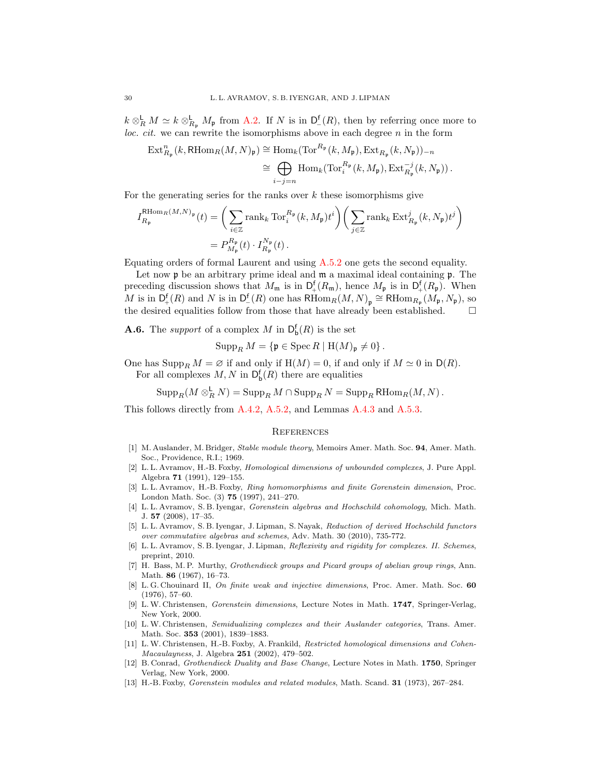$k \otimes_R^{\mathbf{L}} M \simeq k \otimes_{R_{\mathfrak{p}}}^{\mathbf{L}} M_{\mathfrak{p}}$  from [A.2.](#page-26-2) If N is in  $D_{-}^{\mathbf{f}}(R)$ , then by referring once more to *loc. cit.* we can rewrite the isomorphisms above in each degree  $n$  in the form

$$
\begin{split} \operatorname{Ext}^n_{R_{\mathfrak{p}}}(k, \operatorname{RHom}_R(M,N)_{\mathfrak{p}}) &\cong \operatorname{Hom}_k(\operatorname{Tor}^{R_{\mathfrak{p}}}(k,M_{\mathfrak{p}}), \operatorname{Ext}_{R_{\mathfrak{p}}}(k,N_{\mathfrak{p}}))_{-n} \\ &\cong \bigoplus_{i-j=n} \operatorname{Hom}_k(\operatorname{Tor}_i^{R_{\mathfrak{p}}}(k,M_{\mathfrak{p}}), \operatorname{Ext}_{R_{\mathfrak{p}}}^{-j}(k,N_{\mathfrak{p}})) \,. \end{split}
$$

For the generating series for the ranks over  $k$  these isomorphisms give

$$
I_{R_{\mathfrak{p}}}^{\mathrm{RHom}_{R}(M,N)_{\mathfrak{p}}}(t) = \left(\sum_{i \in \mathbb{Z}} \mathrm{rank}_{k} \mathrm{Tor}_{i}^{R_{\mathfrak{p}}}(k, M_{\mathfrak{p}}) t^{i}\right) \left(\sum_{j \in \mathbb{Z}} \mathrm{rank}_{k} \mathrm{Ext}_{R_{\mathfrak{p}}}^{j}(k, N_{\mathfrak{p}}) t^{j}\right)
$$

$$
= P_{M_{\mathfrak{p}}}^{R_{\mathfrak{p}}}(t) \cdot I_{R_{\mathfrak{p}}}^{N_{\mathfrak{p}}}(t).
$$

Equating orders of formal Laurent and using [A.5.2](#page-28-2) one gets the second equality.

Let now  $\mathfrak p$  be an arbitrary prime ideal and  $\mathfrak m$  a maximal ideal containing  $\mathfrak p$ . The preceding discussion shows that  $M_{\mathfrak{m}}$  is in  $\mathsf{D}_+^{\mathsf{f}}(R_{\mathfrak{m}})$ , hence  $M_{\mathfrak{p}}$  is in  $\mathsf{D}_+^{\mathsf{f}}(R_{\mathfrak{p}})$ . When M is in  $\mathsf{D}_+^{\mathsf{f}}(R)$  and N is in  $\mathsf{D}_-^{\mathsf{f}}(R)$  one has  $\mathsf{RHom}_R(M, N)_{\mathfrak{p}} \cong \mathsf{RHom}_{R_{\mathfrak{p}}}(M_{\mathfrak{p}}, N_{\mathfrak{p}})$ , so the desired equalities follow from those that have already been established.

<span id="page-29-11"></span>**A.6.** The *support* of a complex M in  $D_b^f(R)$  is the set

$$
\operatorname{Supp}_R M = \{ \mathfrak{p} \in \operatorname{Spec} R \mid \mathrm{H}(M)_{\mathfrak{p}} \neq 0 \}.
$$

One has  $\text{Supp}_R M = \emptyset$  if and only if  $H(M) = 0$ , if and only if  $M \simeq 0$  in  $D(R)$ . For all complexes  $M, N$  in  $\mathsf{D}_{\mathsf{b}}^{\mathsf{f}}(R)$  there are equalities

 $\operatorname{Supp}_R(M\otimes_R^{\mathsf{L}} N)=\operatorname{Supp}_R M\cap \operatorname{Supp}_R N=\operatorname{Supp}_R \mathsf{R}\mathrm{Hom}_R(M,N)\,.$ 

This follows directly from [A.4.2,](#page-27-2) [A.5.2,](#page-28-2) and Lemmas [A.4.3](#page-27-0) and [A.5.3.](#page-28-1)

#### **REFERENCES**

- <span id="page-29-0"></span>[1] M. Auslander, M. Bridger, Stable module theory, Memoirs Amer. Math. Soc. 94, Amer. Math. Soc., Providence, R.I.; 1969.
- <span id="page-29-7"></span>[2] L. L. Avramov, H.-B. Foxby, Homological dimensions of unbounded complexes, J. Pure Appl. Algebra 71 (1991), 129–155.
- <span id="page-29-4"></span>[3] L. L. Avramov, H.-B. Foxby, Ring homomorphisms and finite Gorenstein dimension, Proc. London Math. Soc. (3) 75 (1997), 241–270.
- <span id="page-29-13"></span>[4] L. L. Avramov, S. B. Iyengar, Gorenstein algebras and Hochschild cohomology, Mich. Math. J. 57 (2008), 17–35.
- <span id="page-29-2"></span>[5] L. L. Avramov, S. B. Iyengar, J. Lipman, S. Nayak, Reduction of derived Hochschild functors over commutative algebras and schemes, Adv. Math. 30 (2010), 735-772.
- <span id="page-29-1"></span>[6] L. L. Avramov, S. B. Iyengar, J. Lipman, Reflexivity and rigidity for complexes. II. Schemes, preprint, 2010.
- <span id="page-29-12"></span>[7] H. Bass, M. P. Murthy, Grothendieck groups and Picard groups of abelian group rings, Ann. Math. 86 (1967), 16–73.
- <span id="page-29-10"></span>[8] L. G. Chouinard II, On finite weak and injective dimensions, Proc. Amer. Math. Soc. 60 (1976), 57–60.
- <span id="page-29-9"></span>[9] L.W. Christensen, Gorenstein dimensions, Lecture Notes in Math. 1747, Springer-Verlag, New York, 2000.
- <span id="page-29-5"></span>[10] L.W. Christensen, Semidualizing complexes and their Auslander categories, Trans. Amer. Math. Soc. 353 (2001), 1839–1883.
- <span id="page-29-6"></span>[11] L.W. Christensen, H.-B. Foxby, A. Frankild, Restricted homological dimensions and Cohen-Macaulayness, J. Algebra 251 (2002), 479–502.
- <span id="page-29-8"></span>[12] B. Conrad, Grothendieck Duality and Base Change, Lecture Notes in Math. 1750, Springer Verlag, New York, 2000.
- <span id="page-29-3"></span>[13] H.-B. Foxby, Gorenstein modules and related modules, Math. Scand. 31 (1973), 267–284.